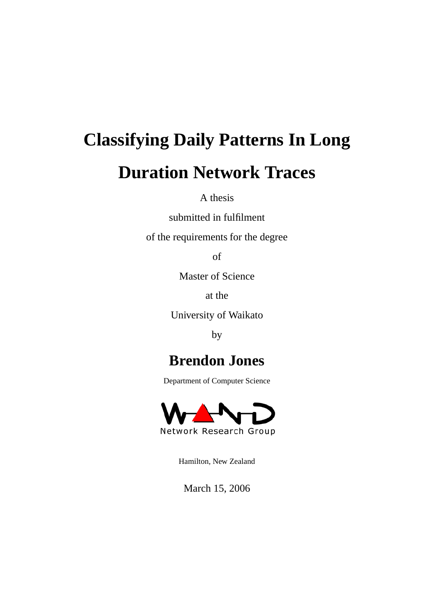# **Classifying Daily Patterns In Long Duration Network Traces**

A thesis

submitted in fulfilment

of the requirements for the degree

of

Master of Science

at the

University of Waikato

by

### **Brendon Jones**

Department of Computer Science



Hamilton, New Zealand

March 15, 2006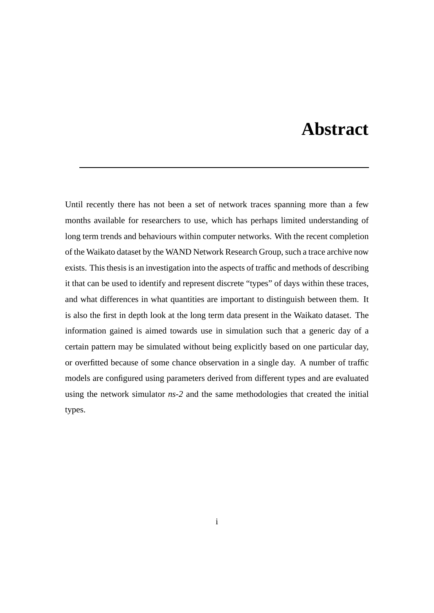### **Abstract**

Until recently there has not been a set of network traces spanning more than a few months available for researchers to use, which has perhaps limited understanding of long term trends and behaviours within computer networks. With the recent completion of the Waikato dataset by the WAND Network Research Group, such a trace archive now exists. This thesis is an investigation into the aspects of traffic and methods of describing it that can be used to identify and represent discrete "types" of days within these traces, and what differences in what quantities are important to distinguish between them. It is also the first in depth look at the long term data present in the Waikato dataset. The information gained is aimed towards use in simulation such that a generic day of a certain pattern may be simulated without being explicitly based on one particular day, or overfitted because of some chance observation in a single day. A number of traffic models are configured using parameters derived from different types and are evaluated using the network simulator *ns-2* and the same methodologies that created the initial types.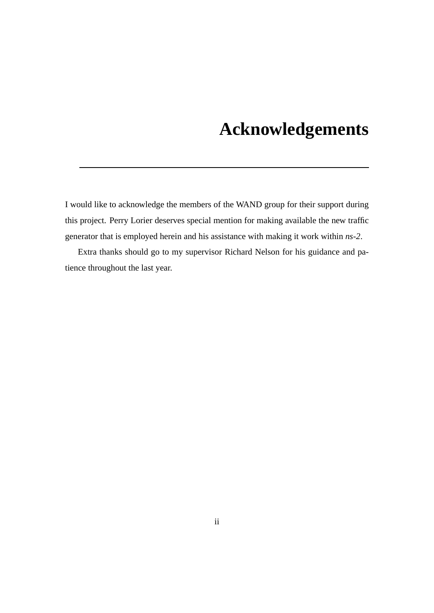### **Acknowledgements**

I would like to acknowledge the members of the WAND group for their support during this project. Perry Lorier deserves special mention for making available the new traffic generator that is employed herein and his assistance with making it work within *ns-2*.

Extra thanks should go to my supervisor Richard Nelson for his guidance and patience throughout the last year.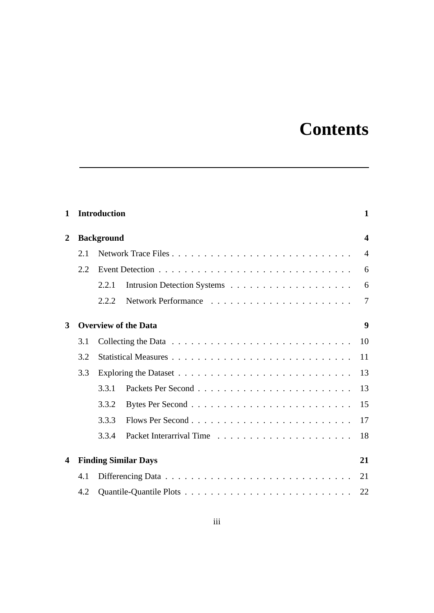## **Contents**

| $\mathbf{1}$            |     | <b>Introduction</b> |                             | $\mathbf{1}$   |  |  |  |  |
|-------------------------|-----|---------------------|-----------------------------|----------------|--|--|--|--|
| $\overline{2}$          |     | <b>Background</b>   |                             |                |  |  |  |  |
|                         | 2.1 |                     |                             | $\overline{4}$ |  |  |  |  |
|                         | 2.2 |                     |                             | 6              |  |  |  |  |
|                         |     | 2.2.1               |                             | 6              |  |  |  |  |
|                         |     | 2.2.2               |                             | $\overline{7}$ |  |  |  |  |
| 3                       |     |                     | <b>Overview of the Data</b> | 9              |  |  |  |  |
|                         | 3.1 |                     |                             | 10             |  |  |  |  |
|                         | 3.2 |                     |                             | 11             |  |  |  |  |
|                         | 3.3 |                     |                             |                |  |  |  |  |
|                         |     | 3.3.1               |                             | 13             |  |  |  |  |
|                         |     | 3.3.2               |                             | 15             |  |  |  |  |
|                         |     | 3.3.3               |                             | 17             |  |  |  |  |
|                         |     | 3.3.4               |                             | 18             |  |  |  |  |
| $\overline{\mathbf{4}}$ |     |                     | <b>Finding Similar Days</b> | 21             |  |  |  |  |
|                         | 4.1 |                     |                             |                |  |  |  |  |
|                         | 4.2 |                     |                             |                |  |  |  |  |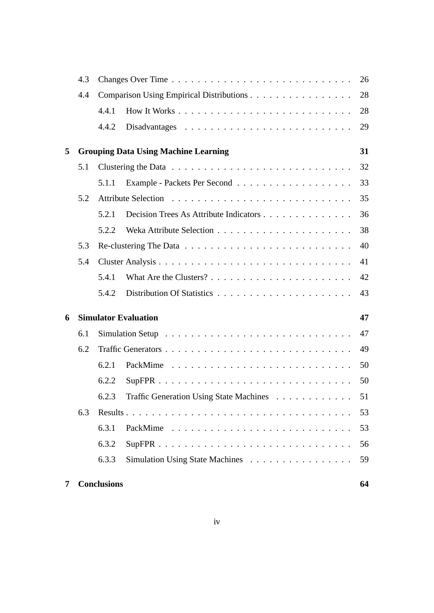|   | 4.3                         |                                          |                                             |    |  |  |  |
|---|-----------------------------|------------------------------------------|---------------------------------------------|----|--|--|--|
|   | 4.4                         | Comparison Using Empirical Distributions |                                             |    |  |  |  |
|   |                             | 4.4.1                                    |                                             | 28 |  |  |  |
|   |                             | 4.4.2                                    |                                             | 29 |  |  |  |
| 5 |                             |                                          | <b>Grouping Data Using Machine Learning</b> | 31 |  |  |  |
|   | 5.1                         |                                          |                                             | 32 |  |  |  |
|   |                             | 5.1.1                                    |                                             | 33 |  |  |  |
|   | 5.2                         |                                          |                                             | 35 |  |  |  |
|   |                             | 5.2.1                                    | Decision Trees As Attribute Indicators      | 36 |  |  |  |
|   |                             | 5.2.2                                    |                                             | 38 |  |  |  |
|   | 5.3                         |                                          | 40                                          |    |  |  |  |
|   | 5.4                         |                                          |                                             | 41 |  |  |  |
|   |                             | 5.4.1                                    |                                             | 42 |  |  |  |
|   |                             | 5.4.2                                    |                                             | 43 |  |  |  |
| 6 | <b>Simulator Evaluation</b> | 47                                       |                                             |    |  |  |  |
|   | 6.1                         |                                          |                                             |    |  |  |  |
|   | 6.2                         |                                          |                                             |    |  |  |  |
|   |                             | 6.2.1                                    |                                             | 50 |  |  |  |
|   |                             | 6.2.2                                    |                                             | 50 |  |  |  |
|   |                             | 6.2.3                                    | Traffic Generation Using State Machines     | 51 |  |  |  |
|   | 6.3                         |                                          |                                             | 53 |  |  |  |
|   |                             | 6.3.1                                    |                                             | 53 |  |  |  |
|   |                             | 6.3.2                                    |                                             | 56 |  |  |  |
|   |                             | 6.3.3                                    | Simulation Using State Machines             | 59 |  |  |  |
| 7 |                             | <b>Conclusions</b>                       |                                             | 64 |  |  |  |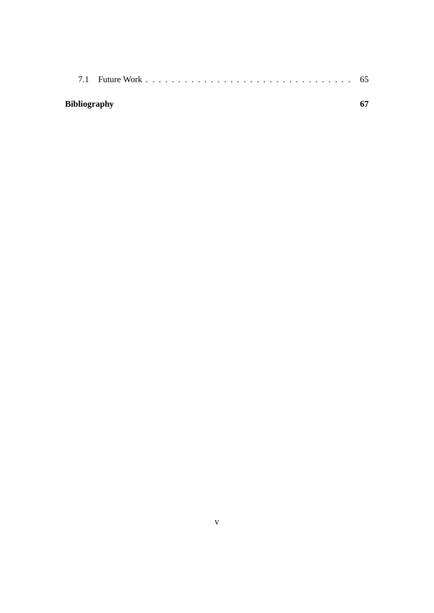| <b>Bibliography</b> |  |
|---------------------|--|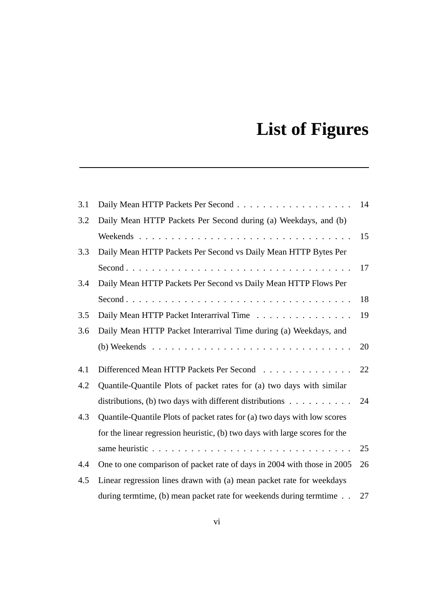## **List of Figures**

| 3.1 |                                                                             | 14 |
|-----|-----------------------------------------------------------------------------|----|
| 3.2 | Daily Mean HTTP Packets Per Second during (a) Weekdays, and (b)             |    |
|     |                                                                             | 15 |
| 3.3 | Daily Mean HTTP Packets Per Second vs Daily Mean HTTP Bytes Per             |    |
|     |                                                                             | 17 |
| 3.4 | Daily Mean HTTP Packets Per Second vs Daily Mean HTTP Flows Per             |    |
|     |                                                                             | 18 |
| 3.5 | Daily Mean HTTP Packet Interarrival Time                                    | 19 |
| 3.6 | Daily Mean HTTP Packet Interarrival Time during (a) Weekdays, and           |    |
|     |                                                                             | 20 |
| 4.1 | Differenced Mean HTTP Packets Per Second                                    | 22 |
| 4.2 | Quantile-Quantile Plots of packet rates for (a) two days with similar       |    |
|     | distributions, (b) two days with different distributions $\dots$            | 24 |
| 4.3 | Quantile-Quantile Plots of packet rates for (a) two days with low scores    |    |
|     | for the linear regression heuristic, (b) two days with large scores for the |    |
|     |                                                                             | 25 |
| 4.4 | One to one comparison of packet rate of days in 2004 with those in 2005     | 26 |
| 4.5 | Linear regression lines drawn with (a) mean packet rate for weekdays        |    |
|     | during termtime, (b) mean packet rate for weekends during termtime          | 27 |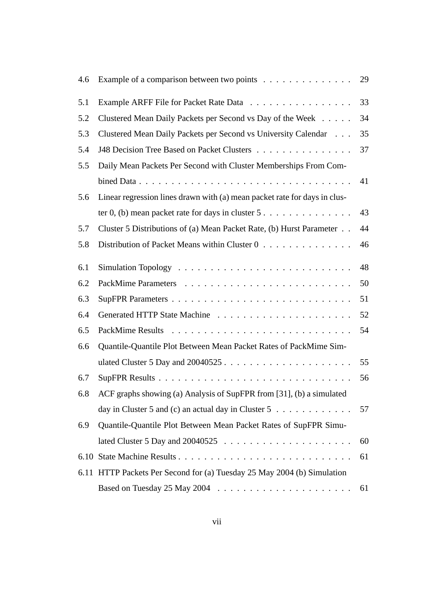| 4.6 | Example of a comparison between two points                                             | 29 |
|-----|----------------------------------------------------------------------------------------|----|
| 5.1 | Example ARFF File for Packet Rate Data                                                 | 33 |
| 5.2 | Clustered Mean Daily Packets per Second vs Day of the Week                             | 34 |
| 5.3 | Clustered Mean Daily Packets per Second vs University Calendar                         | 35 |
| 5.4 | J48 Decision Tree Based on Packet Clusters                                             | 37 |
| 5.5 | Daily Mean Packets Per Second with Cluster Memberships From Com-                       |    |
|     |                                                                                        | 41 |
| 5.6 | Linear regression lines drawn with (a) mean packet rate for days in clus-              |    |
|     | ter 0, (b) mean packet rate for days in cluster $5 \ldots \ldots \ldots \ldots \ldots$ | 43 |
| 5.7 | Cluster 5 Distributions of (a) Mean Packet Rate, (b) Hurst Parameter                   | 44 |
| 5.8 | Distribution of Packet Means within Cluster 0                                          | 46 |
| 6.1 |                                                                                        | 48 |
| 6.2 |                                                                                        | 50 |
| 6.3 |                                                                                        | 51 |
| 6.4 |                                                                                        | 52 |
| 6.5 |                                                                                        | 54 |
| 6.6 | Quantile-Quantile Plot Between Mean Packet Rates of PackMime Sim-                      |    |
|     |                                                                                        | 55 |
| 6.7 |                                                                                        | 56 |
| 6.8 | ACF graphs showing (a) Analysis of SupFPR from [31], (b) a simulated                   |    |
|     | day in Cluster 5 and (c) an actual day in Cluster 5 $\dots \dots \dots \dots$          | 57 |
| 6.9 | Quantile-Quantile Plot Between Mean Packet Rates of SupFPR Simu-                       |    |
|     |                                                                                        | 60 |
|     |                                                                                        | 61 |
|     | 6.11 HTTP Packets Per Second for (a) Tuesday 25 May 2004 (b) Simulation                |    |
|     | Based on Tuesday 25 May 2004 $\ldots \ldots \ldots \ldots \ldots \ldots \ldots$        | 61 |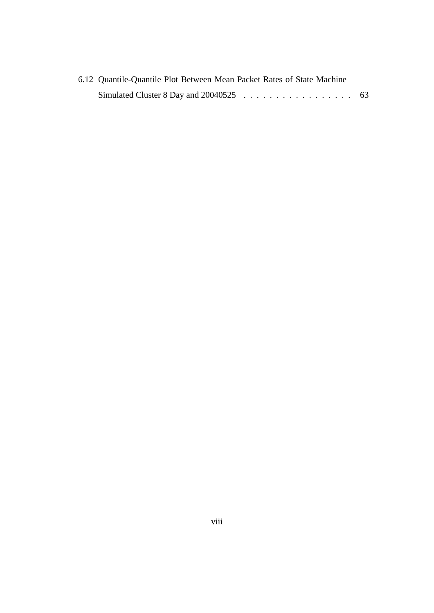| 6.12 Quantile-Quantile Plot Between Mean Packet Rates of State Machine |  |  |  |  |  |
|------------------------------------------------------------------------|--|--|--|--|--|
|                                                                        |  |  |  |  |  |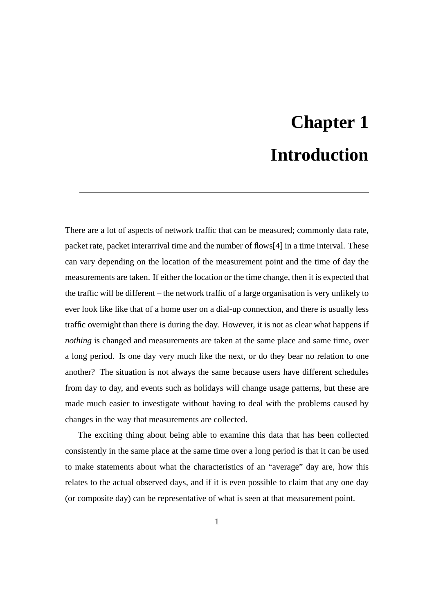## **Chapter 1 Introduction**

There are a lot of aspects of network traffic that can be measured; commonly data rate, packet rate, packet interarrival time and the number of flows[4] in a time interval. These can vary depending on the location of the measurement point and the time of day the measurements are taken. If either the location or the time change, then it is expected that the traffic will be different – the network traffic of a large organisation is very unlikely to ever look like like that of a home user on a dial-up connection, and there is usually less traffic overnight than there is during the day. However, it is not as clear what happens if *nothing* is changed and measurements are taken at the same place and same time, over a long period. Is one day very much like the next, or do they bear no relation to one another? The situation is not always the same because users have different schedules from day to day, and events such as holidays will change usage patterns, but these are made much easier to investigate without having to deal with the problems caused by changes in the way that measurements are collected.

The exciting thing about being able to examine this data that has been collected consistently in the same place at the same time over a long period is that it can be used to make statements about what the characteristics of an "average" day are, how this relates to the actual observed days, and if it is even possible to claim that any one day (or composite day) can be representative of what is seen at that measurement point.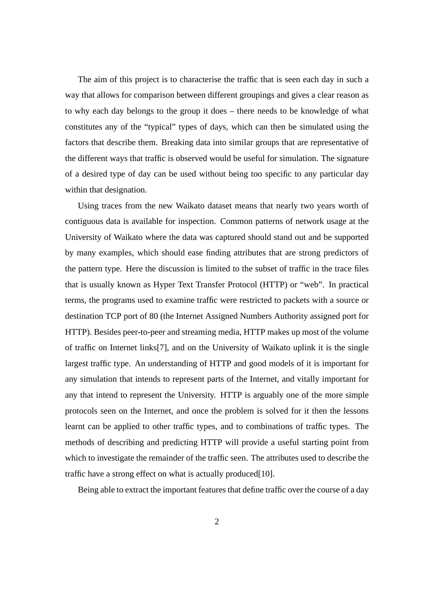The aim of this project is to characterise the traffic that is seen each day in such a way that allows for comparison between different groupings and gives a clear reason as to why each day belongs to the group it does – there needs to be knowledge of what constitutes any of the "typical" types of days, which can then be simulated using the factors that describe them. Breaking data into similar groups that are representative of the different ways that traffic is observed would be useful for simulation. The signature of a desired type of day can be used without being too specific to any particular day within that designation.

Using traces from the new Waikato dataset means that nearly two years worth of contiguous data is available for inspection. Common patterns of network usage at the University of Waikato where the data was captured should stand out and be supported by many examples, which should ease finding attributes that are strong predictors of the pattern type. Here the discussion is limited to the subset of traffic in the trace files that is usually known as Hyper Text Transfer Protocol (HTTP) or "web". In practical terms, the programs used to examine traffic were restricted to packets with a source or destination TCP port of 80 (the Internet Assigned Numbers Authority assigned port for HTTP). Besides peer-to-peer and streaming media, HTTP makes up most of the volume of traffic on Internet links[7], and on the University of Waikato uplink it is the single largest traffic type. An understanding of HTTP and good models of it is important for any simulation that intends to represent parts of the Internet, and vitally important for any that intend to represent the University. HTTP is arguably one of the more simple protocols seen on the Internet, and once the problem is solved for it then the lessons learnt can be applied to other traffic types, and to combinations of traffic types. The methods of describing and predicting HTTP will provide a useful starting point from which to investigate the remainder of the traffic seen. The attributes used to describe the traffic have a strong effect on what is actually produced[10].

Being able to extract the important features that define traffic over the course of a day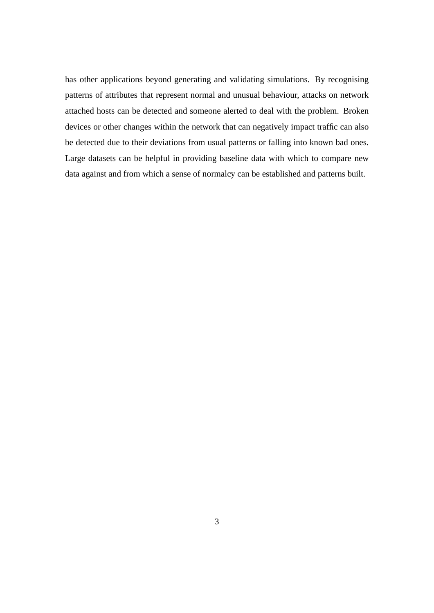has other applications beyond generating and validating simulations. By recognising patterns of attributes that represent normal and unusual behaviour, attacks on network attached hosts can be detected and someone alerted to deal with the problem. Broken devices or other changes within the network that can negatively impact traffic can also be detected due to their deviations from usual patterns or falling into known bad ones. Large datasets can be helpful in providing baseline data with which to compare new data against and from which a sense of normalcy can be established and patterns built.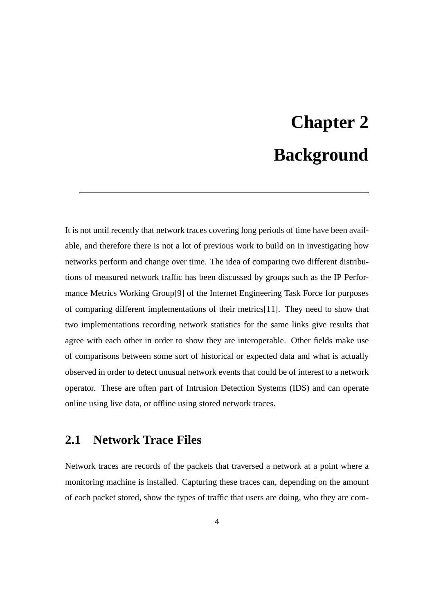# **Chapter 2 Background**

It is not until recently that network traces covering long periods of time have been available, and therefore there is not a lot of previous work to build on in investigating how networks perform and change over time. The idea of comparing two different distributions of measured network traffic has been discussed by groups such as the IP Performance Metrics Working Group[9] of the Internet Engineering Task Force for purposes of comparing different implementations of their metrics[11]. They need to show that two implementations recording network statistics for the same links give results that agree with each other in order to show they are interoperable. Other fields make use of comparisons between some sort of historical or expected data and what is actually observed in order to detect unusual network events that could be of interest to a network operator. These are often part of Intrusion Detection Systems (IDS) and can operate online using live data, or offline using stored network traces.

#### **2.1 Network Trace Files**

Network traces are records of the packets that traversed a network at a point where a monitoring machine is installed. Capturing these traces can, depending on the amount of each packet stored, show the types of traffic that users are doing, who they are com-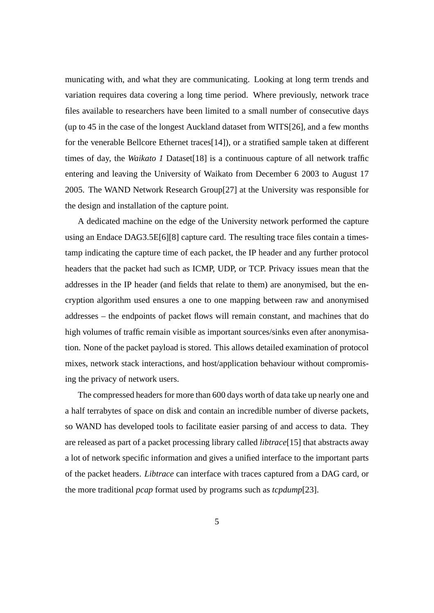municating with, and what they are communicating. Looking at long term trends and variation requires data covering a long time period. Where previously, network trace files available to researchers have been limited to a small number of consecutive days (up to 45 in the case of the longest Auckland dataset from WITS[26], and a few months for the venerable Bellcore Ethernet traces[14]), or a stratified sample taken at different times of day, the *Waikato 1* Dataset[18] is a continuous capture of all network traffic entering and leaving the University of Waikato from December 6 2003 to August 17 2005. The WAND Network Research Group[27] at the University was responsible for the design and installation of the capture point.

A dedicated machine on the edge of the University network performed the capture using an Endace DAG3.5E[6][8] capture card. The resulting trace files contain a timestamp indicating the capture time of each packet, the IP header and any further protocol headers that the packet had such as ICMP, UDP, or TCP. Privacy issues mean that the addresses in the IP header (and fields that relate to them) are anonymised, but the encryption algorithm used ensures a one to one mapping between raw and anonymised addresses – the endpoints of packet flows will remain constant, and machines that do high volumes of traffic remain visible as important sources/sinks even after anonymisation. None of the packet payload is stored. This allows detailed examination of protocol mixes, network stack interactions, and host/application behaviour without compromising the privacy of network users.

The compressed headers for more than 600 days worth of data take up nearly one and a half terrabytes of space on disk and contain an incredible number of diverse packets, so WAND has developed tools to facilitate easier parsing of and access to data. They are released as part of a packet processing library called *libtrace*[15] that abstracts away a lot of network specific information and gives a unified interface to the important parts of the packet headers. *Libtrace* can interface with traces captured from a DAG card, or the more traditional *pcap* format used by programs such as *tcpdump*[23].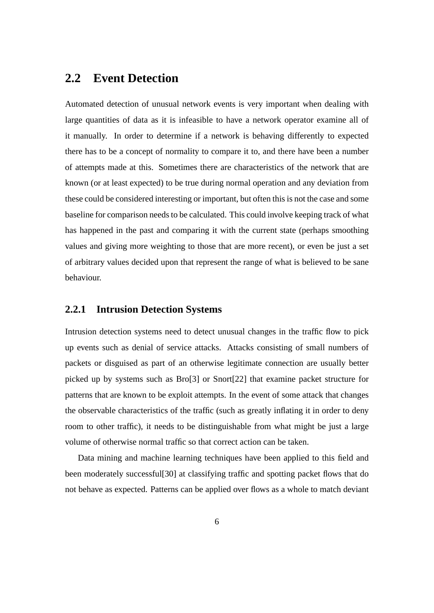#### **2.2 Event Detection**

Automated detection of unusual network events is very important when dealing with large quantities of data as it is infeasible to have a network operator examine all of it manually. In order to determine if a network is behaving differently to expected there has to be a concept of normality to compare it to, and there have been a number of attempts made at this. Sometimes there are characteristics of the network that are known (or at least expected) to be true during normal operation and any deviation from these could be considered interesting or important, but often this is not the case and some baseline for comparison needs to be calculated. This could involve keeping track of what has happened in the past and comparing it with the current state (perhaps smoothing values and giving more weighting to those that are more recent), or even be just a set of arbitrary values decided upon that represent the range of what is believed to be sane behaviour.

#### **2.2.1 Intrusion Detection Systems**

Intrusion detection systems need to detect unusual changes in the traffic flow to pick up events such as denial of service attacks. Attacks consisting of small numbers of packets or disguised as part of an otherwise legitimate connection are usually better picked up by systems such as Bro[3] or Snort[22] that examine packet structure for patterns that are known to be exploit attempts. In the event of some attack that changes the observable characteristics of the traffic (such as greatly inflating it in order to deny room to other traffic), it needs to be distinguishable from what might be just a large volume of otherwise normal traffic so that correct action can be taken.

Data mining and machine learning techniques have been applied to this field and been moderately successful[30] at classifying traffic and spotting packet flows that do not behave as expected. Patterns can be applied over flows as a whole to match deviant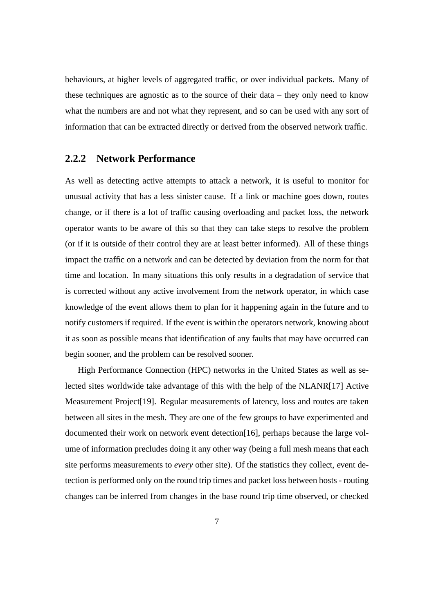behaviours, at higher levels of aggregated traffic, or over individual packets. Many of these techniques are agnostic as to the source of their data – they only need to know what the numbers are and not what they represent, and so can be used with any sort of information that can be extracted directly or derived from the observed network traffic.

#### **2.2.2 Network Performance**

As well as detecting active attempts to attack a network, it is useful to monitor for unusual activity that has a less sinister cause. If a link or machine goes down, routes change, or if there is a lot of traffic causing overloading and packet loss, the network operator wants to be aware of this so that they can take steps to resolve the problem (or if it is outside of their control they are at least better informed). All of these things impact the traffic on a network and can be detected by deviation from the norm for that time and location. In many situations this only results in a degradation of service that is corrected without any active involvement from the network operator, in which case knowledge of the event allows them to plan for it happening again in the future and to notify customers if required. If the event is within the operators network, knowing about it as soon as possible means that identification of any faults that may have occurred can begin sooner, and the problem can be resolved sooner.

High Performance Connection (HPC) networks in the United States as well as selected sites worldwide take advantage of this with the help of the NLANR[17] Active Measurement Project[19]. Regular measurements of latency, loss and routes are taken between all sites in the mesh. They are one of the few groups to have experimented and documented their work on network event detection[16], perhaps because the large volume of information precludes doing it any other way (being a full mesh means that each site performs measurements to *every* other site). Of the statistics they collect, event detection is performed only on the round trip times and packet loss between hosts - routing changes can be inferred from changes in the base round trip time observed, or checked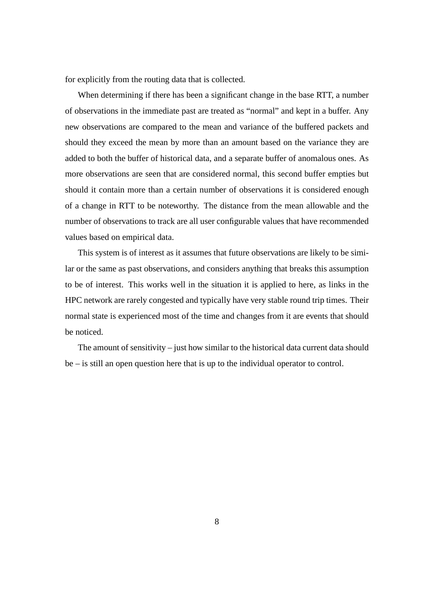for explicitly from the routing data that is collected.

When determining if there has been a significant change in the base RTT, a number of observations in the immediate past are treated as "normal" and kept in a buffer. Any new observations are compared to the mean and variance of the buffered packets and should they exceed the mean by more than an amount based on the variance they are added to both the buffer of historical data, and a separate buffer of anomalous ones. As more observations are seen that are considered normal, this second buffer empties but should it contain more than a certain number of observations it is considered enough of a change in RTT to be noteworthy. The distance from the mean allowable and the number of observations to track are all user configurable values that have recommended values based on empirical data.

This system is of interest as it assumes that future observations are likely to be similar or the same as past observations, and considers anything that breaks this assumption to be of interest. This works well in the situation it is applied to here, as links in the HPC network are rarely congested and typically have very stable round trip times. Their normal state is experienced most of the time and changes from it are events that should be noticed.

The amount of sensitivity – just how similar to the historical data current data should be – is still an open question here that is up to the individual operator to control.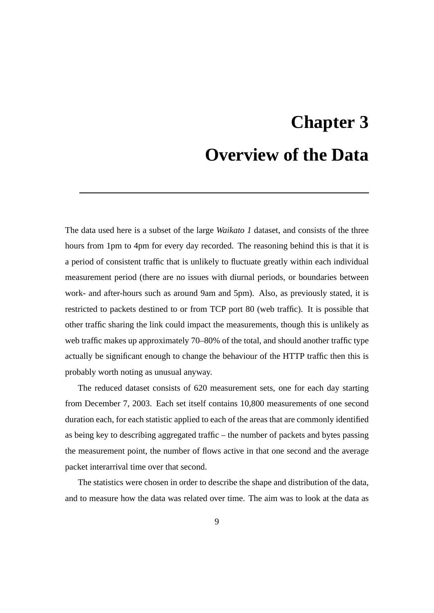## **Chapter 3 Overview of the Data**

The data used here is a subset of the large *Waikato 1* dataset, and consists of the three hours from 1pm to 4pm for every day recorded. The reasoning behind this is that it is a period of consistent traffic that is unlikely to fluctuate greatly within each individual measurement period (there are no issues with diurnal periods, or boundaries between work- and after-hours such as around 9am and 5pm). Also, as previously stated, it is restricted to packets destined to or from TCP port 80 (web traffic). It is possible that other traffic sharing the link could impact the measurements, though this is unlikely as web traffic makes up approximately 70–80% of the total, and should another traffic type actually be significant enough to change the behaviour of the HTTP traffic then this is probably worth noting as unusual anyway.

The reduced dataset consists of 620 measurement sets, one for each day starting from December 7, 2003. Each set itself contains 10,800 measurements of one second duration each, for each statistic applied to each of the areas that are commonly identified as being key to describing aggregated traffic – the number of packets and bytes passing the measurement point, the number of flows active in that one second and the average packet interarrival time over that second.

The statistics were chosen in order to describe the shape and distribution of the data, and to measure how the data was related over time. The aim was to look at the data as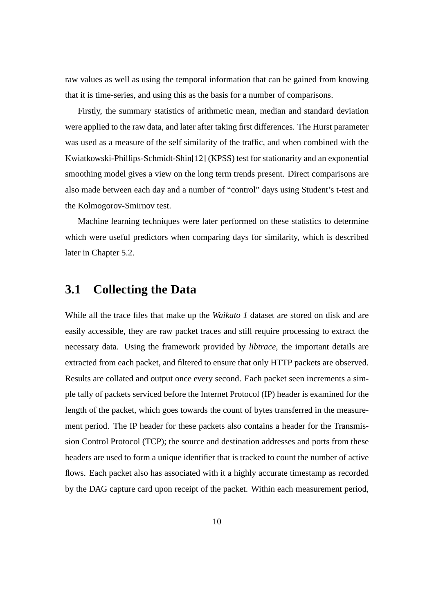raw values as well as using the temporal information that can be gained from knowing that it is time-series, and using this as the basis for a number of comparisons.

Firstly, the summary statistics of arithmetic mean, median and standard deviation were applied to the raw data, and later after taking first differences. The Hurst parameter was used as a measure of the self similarity of the traffic, and when combined with the Kwiatkowski-Phillips-Schmidt-Shin[12] (KPSS) test for stationarity and an exponential smoothing model gives a view on the long term trends present. Direct comparisons are also made between each day and a number of "control" days using Student's t-test and the Kolmogorov-Smirnov test.

Machine learning techniques were later performed on these statistics to determine which were useful predictors when comparing days for similarity, which is described later in Chapter 5.2.

#### **3.1 Collecting the Data**

While all the trace files that make up the *Waikato 1* dataset are stored on disk and are easily accessible, they are raw packet traces and still require processing to extract the necessary data. Using the framework provided by *libtrace*, the important details are extracted from each packet, and filtered to ensure that only HTTP packets are observed. Results are collated and output once every second. Each packet seen increments a simple tally of packets serviced before the Internet Protocol (IP) header is examined for the length of the packet, which goes towards the count of bytes transferred in the measurement period. The IP header for these packets also contains a header for the Transmission Control Protocol (TCP); the source and destination addresses and ports from these headers are used to form a unique identifier that is tracked to count the number of active flows. Each packet also has associated with it a highly accurate timestamp as recorded by the DAG capture card upon receipt of the packet. Within each measurement period,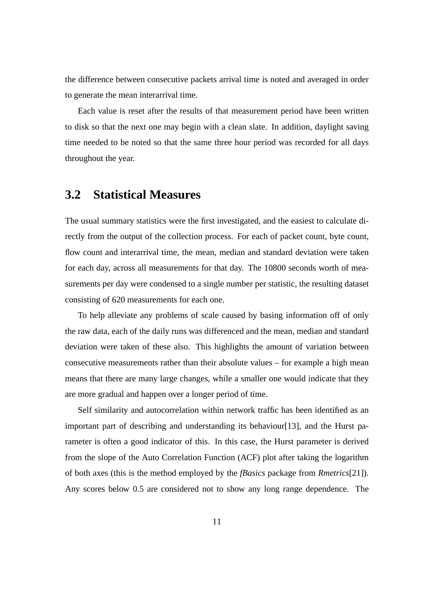the difference between consecutive packets arrival time is noted and averaged in order to generate the mean interarrival time.

Each value is reset after the results of that measurement period have been written to disk so that the next one may begin with a clean slate. In addition, daylight saving time needed to be noted so that the same three hour period was recorded for all days throughout the year.

#### **3.2 Statistical Measures**

The usual summary statistics were the first investigated, and the easiest to calculate directly from the output of the collection process. For each of packet count, byte count, flow count and interarrival time, the mean, median and standard deviation were taken for each day, across all measurements for that day. The 10800 seconds worth of measurements per day were condensed to a single number per statistic, the resulting dataset consisting of 620 measurements for each one.

To help alleviate any problems of scale caused by basing information off of only the raw data, each of the daily runs was differenced and the mean, median and standard deviation were taken of these also. This highlights the amount of variation between consecutive measurements rather than their absolute values – for example a high mean means that there are many large changes, while a smaller one would indicate that they are more gradual and happen over a longer period of time.

Self similarity and autocorrelation within network traffic has been identified as an important part of describing and understanding its behaviour [13], and the Hurst parameter is often a good indicator of this. In this case, the Hurst parameter is derived from the slope of the Auto Correlation Function (ACF) plot after taking the logarithm of both axes (this is the method employed by the *fBasics* package from *Rmetrics*[21]). Any scores below 0.5 are considered not to show any long range dependence. The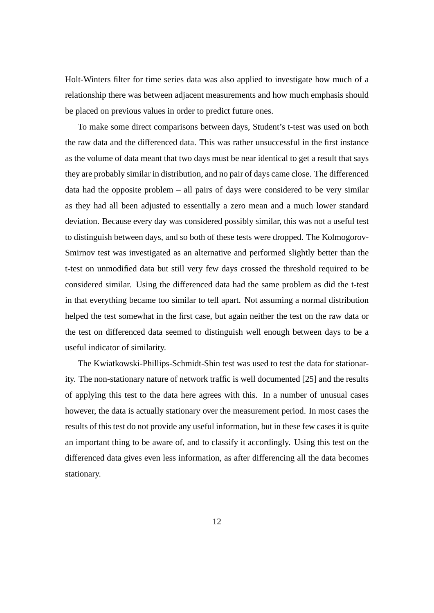Holt-Winters filter for time series data was also applied to investigate how much of a relationship there was between adjacent measurements and how much emphasis should be placed on previous values in order to predict future ones.

To make some direct comparisons between days, Student's t-test was used on both the raw data and the differenced data. This was rather unsuccessful in the first instance as the volume of data meant that two days must be near identical to get a result that says they are probably similar in distribution, and no pair of days came close. The differenced data had the opposite problem – all pairs of days were considered to be very similar as they had all been adjusted to essentially a zero mean and a much lower standard deviation. Because every day was considered possibly similar, this was not a useful test to distinguish between days, and so both of these tests were dropped. The Kolmogorov-Smirnov test was investigated as an alternative and performed slightly better than the t-test on unmodified data but still very few days crossed the threshold required to be considered similar. Using the differenced data had the same problem as did the t-test in that everything became too similar to tell apart. Not assuming a normal distribution helped the test somewhat in the first case, but again neither the test on the raw data or the test on differenced data seemed to distinguish well enough between days to be a useful indicator of similarity.

The Kwiatkowski-Phillips-Schmidt-Shin test was used to test the data for stationarity. The non-stationary nature of network traffic is well documented [25] and the results of applying this test to the data here agrees with this. In a number of unusual cases however, the data is actually stationary over the measurement period. In most cases the results of this test do not provide any useful information, but in these few cases it is quite an important thing to be aware of, and to classify it accordingly. Using this test on the differenced data gives even less information, as after differencing all the data becomes stationary.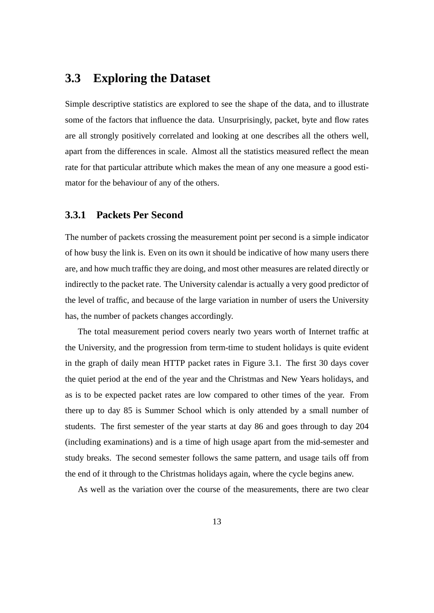#### **3.3 Exploring the Dataset**

Simple descriptive statistics are explored to see the shape of the data, and to illustrate some of the factors that influence the data. Unsurprisingly, packet, byte and flow rates are all strongly positively correlated and looking at one describes all the others well, apart from the differences in scale. Almost all the statistics measured reflect the mean rate for that particular attribute which makes the mean of any one measure a good estimator for the behaviour of any of the others.

#### **3.3.1 Packets Per Second**

The number of packets crossing the measurement point per second is a simple indicator of how busy the link is. Even on its own it should be indicative of how many users there are, and how much traffic they are doing, and most other measures are related directly or indirectly to the packet rate. The University calendar is actually a very good predictor of the level of traffic, and because of the large variation in number of users the University has, the number of packets changes accordingly.

The total measurement period covers nearly two years worth of Internet traffic at the University, and the progression from term-time to student holidays is quite evident in the graph of daily mean HTTP packet rates in Figure 3.1. The first 30 days cover the quiet period at the end of the year and the Christmas and New Years holidays, and as is to be expected packet rates are low compared to other times of the year. From there up to day 85 is Summer School which is only attended by a small number of students. The first semester of the year starts at day 86 and goes through to day 204 (including examinations) and is a time of high usage apart from the mid-semester and study breaks. The second semester follows the same pattern, and usage tails off from the end of it through to the Christmas holidays again, where the cycle begins anew.

As well as the variation over the course of the measurements, there are two clear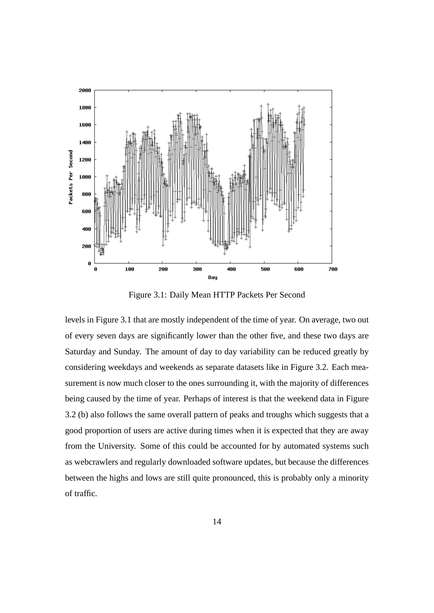

Figure 3.1: Daily Mean HTTP Packets Per Second

levels in Figure 3.1 that are mostly independent of the time of year. On average, two out of every seven days are significantly lower than the other five, and these two days are Saturday and Sunday. The amount of day to day variability can be reduced greatly by considering weekdays and weekends as separate datasets like in Figure 3.2. Each measurement is now much closer to the ones surrounding it, with the majority of differences being caused by the time of year. Perhaps of interest is that the weekend data in Figure 3.2 (b) also follows the same overall pattern of peaks and troughs which suggests that a good proportion of users are active during times when it is expected that they are away from the University. Some of this could be accounted for by automated systems such as webcrawlers and regularly downloaded software updates, but because the differences between the highs and lows are still quite pronounced, this is probably only a minority of traffic.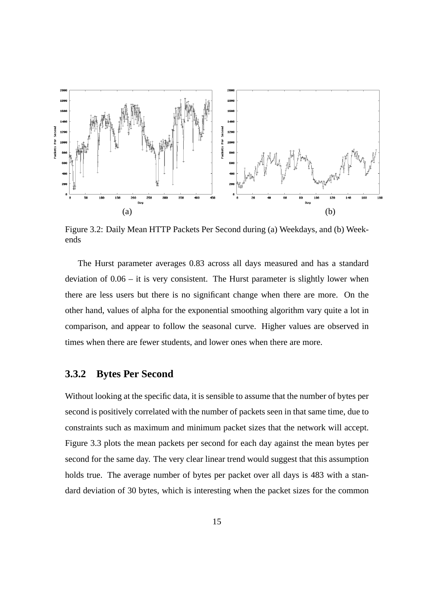

Figure 3.2: Daily Mean HTTP Packets Per Second during (a) Weekdays, and (b) Weekends

The Hurst parameter averages 0.83 across all days measured and has a standard deviation of 0.06 – it is very consistent. The Hurst parameter is slightly lower when there are less users but there is no significant change when there are more. On the other hand, values of alpha for the exponential smoothing algorithm vary quite a lot in comparison, and appear to follow the seasonal curve. Higher values are observed in times when there are fewer students, and lower ones when there are more.

#### **3.3.2 Bytes Per Second**

Without looking at the specific data, it is sensible to assume that the number of bytes per second is positively correlated with the number of packets seen in that same time, due to constraints such as maximum and minimum packet sizes that the network will accept. Figure 3.3 plots the mean packets per second for each day against the mean bytes per second for the same day. The very clear linear trend would suggest that this assumption holds true. The average number of bytes per packet over all days is 483 with a standard deviation of 30 bytes, which is interesting when the packet sizes for the common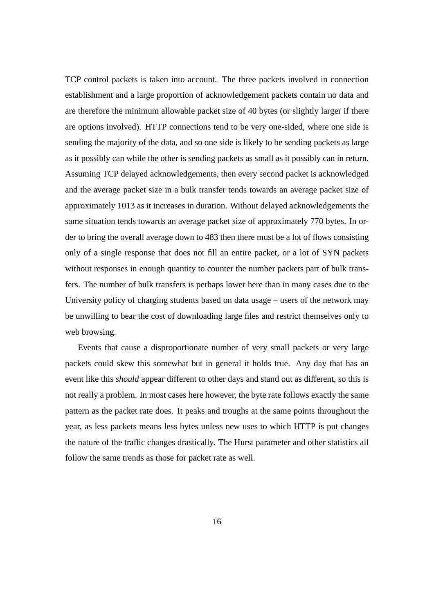TCP control packets is taken into account. The three packets involved in connection establishment and a large proportion of acknowledgement packets contain no data and are therefore the minimum allowable packet size of 40 bytes (or slightly larger if there are options involved). HTTP connections tend to be very one-sided, where one side is sending the majority of the data, and so one side is likely to be sending packets as large as it possibly can while the other is sending packets as small as it possibly can in return. Assuming TCP delayed acknowledgements, then every second packet is acknowledged and the average packet size in a bulk transfer tends towards an average packet size of approximately 1013 as it increases in duration. Without delayed acknowledgements the same situation tends towards an average packet size of approximately 770 bytes. In order to bring the overall average down to 483 then there must be a lot of flows consisting only of a single response that does not fill an entire packet, or a lot of SYN packets without responses in enough quantity to counter the number packets part of bulk transfers. The number of bulk transfers is perhaps lower here than in many cases due to the University policy of charging students based on data usage – users of the network may be unwilling to bear the cost of downloading large files and restrict themselves only to web browsing.

Events that cause a disproportionate number of very small packets or very large packets could skew this somewhat but in general it holds true. Any day that has an event like this *should* appear different to other days and stand out as different, so this is not really a problem. In most cases here however, the byte rate follows exactly the same pattern as the packet rate does. It peaks and troughs at the same points throughout the year, as less packets means less bytes unless new uses to which HTTP is put changes the nature of the traffic changes drastically. The Hurst parameter and other statistics all follow the same trends as those for packet rate as well.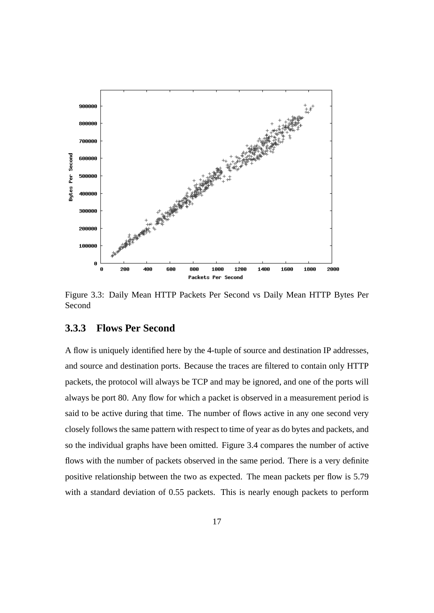

Figure 3.3: Daily Mean HTTP Packets Per Second vs Daily Mean HTTP Bytes Per Second

#### **3.3.3 Flows Per Second**

A flow is uniquely identified here by the 4-tuple of source and destination IP addresses, and source and destination ports. Because the traces are filtered to contain only HTTP packets, the protocol will always be TCP and may be ignored, and one of the ports will always be port 80. Any flow for which a packet is observed in a measurement period is said to be active during that time. The number of flows active in any one second very closely follows the same pattern with respect to time of year as do bytes and packets, and so the individual graphs have been omitted. Figure 3.4 compares the number of active flows with the number of packets observed in the same period. There is a very definite positive relationship between the two as expected. The mean packets per flow is 5.79 with a standard deviation of 0.55 packets. This is nearly enough packets to perform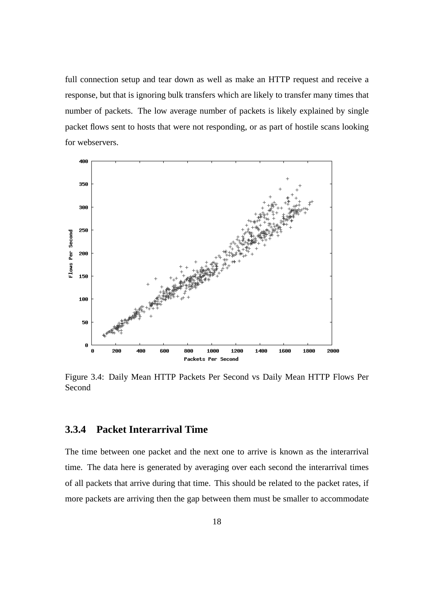full connection setup and tear down as well as make an HTTP request and receive a response, but that is ignoring bulk transfers which are likely to transfer many times that number of packets. The low average number of packets is likely explained by single packet flows sent to hosts that were not responding, or as part of hostile scans looking for webservers.



Figure 3.4: Daily Mean HTTP Packets Per Second vs Daily Mean HTTP Flows Per Second

#### **3.3.4 Packet Interarrival Time**

The time between one packet and the next one to arrive is known as the interarrival time. The data here is generated by averaging over each second the interarrival times of all packets that arrive during that time. This should be related to the packet rates, if more packets are arriving then the gap between them must be smaller to accommodate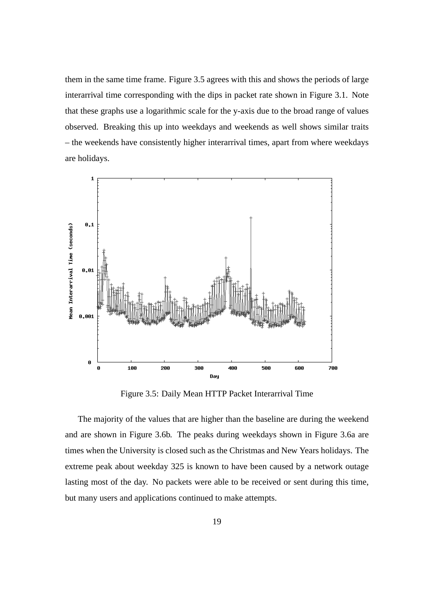them in the same time frame. Figure 3.5 agrees with this and shows the periods of large interarrival time corresponding with the dips in packet rate shown in Figure 3.1. Note that these graphs use a logarithmic scale for the y-axis due to the broad range of values observed. Breaking this up into weekdays and weekends as well shows similar traits – the weekends have consistently higher interarrival times, apart from where weekdays are holidays.



Figure 3.5: Daily Mean HTTP Packet Interarrival Time

The majority of the values that are higher than the baseline are during the weekend and are shown in Figure 3.6b. The peaks during weekdays shown in Figure 3.6a are times when the University is closed such as the Christmas and New Years holidays. The extreme peak about weekday 325 is known to have been caused by a network outage lasting most of the day. No packets were able to be received or sent during this time, but many users and applications continued to make attempts.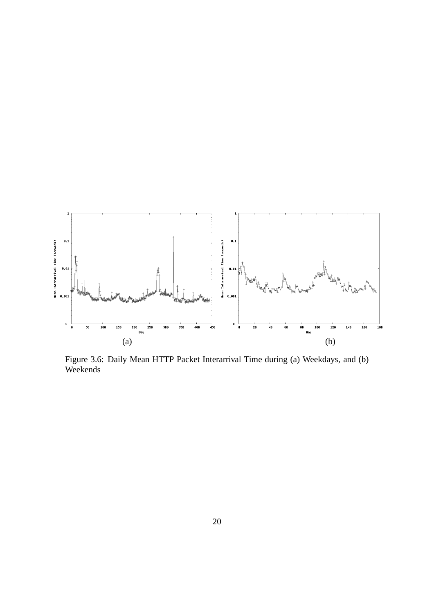

Figure 3.6: Daily Mean HTTP Packet Interarrival Time during (a) Weekdays, and (b) Weekends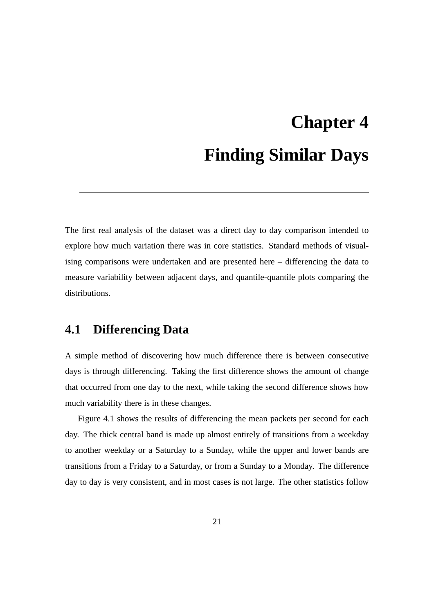# **Chapter 4 Finding Similar Days**

The first real analysis of the dataset was a direct day to day comparison intended to explore how much variation there was in core statistics. Standard methods of visualising comparisons were undertaken and are presented here – differencing the data to measure variability between adjacent days, and quantile-quantile plots comparing the distributions.

#### **4.1 Differencing Data**

A simple method of discovering how much difference there is between consecutive days is through differencing. Taking the first difference shows the amount of change that occurred from one day to the next, while taking the second difference shows how much variability there is in these changes.

Figure 4.1 shows the results of differencing the mean packets per second for each day. The thick central band is made up almost entirely of transitions from a weekday to another weekday or a Saturday to a Sunday, while the upper and lower bands are transitions from a Friday to a Saturday, or from a Sunday to a Monday. The difference day to day is very consistent, and in most cases is not large. The other statistics follow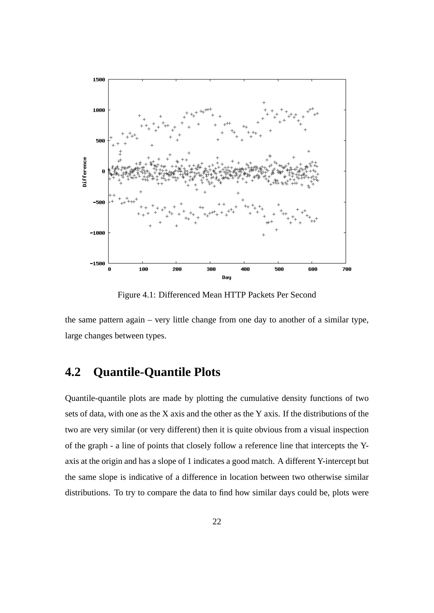

Figure 4.1: Differenced Mean HTTP Packets Per Second

the same pattern again – very little change from one day to another of a similar type, large changes between types.

### **4.2 Quantile-Quantile Plots**

Quantile-quantile plots are made by plotting the cumulative density functions of two sets of data, with one as the X axis and the other as the Y axis. If the distributions of the two are very similar (or very different) then it is quite obvious from a visual inspection of the graph - a line of points that closely follow a reference line that intercepts the Yaxis at the origin and has a slope of 1 indicates a good match. A different Y-intercept but the same slope is indicative of a difference in location between two otherwise similar distributions. To try to compare the data to find how similar days could be, plots were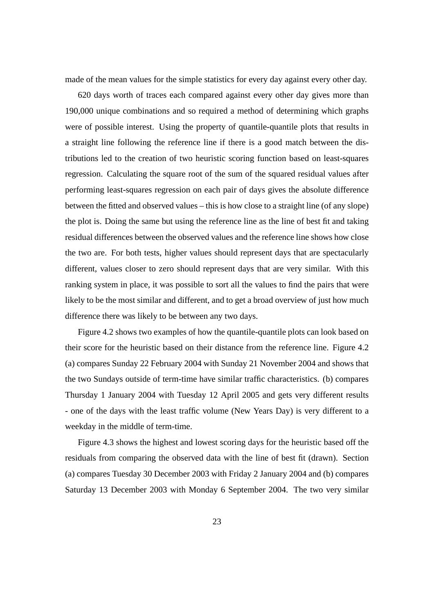made of the mean values for the simple statistics for every day against every other day.

620 days worth of traces each compared against every other day gives more than 190,000 unique combinations and so required a method of determining which graphs were of possible interest. Using the property of quantile-quantile plots that results in a straight line following the reference line if there is a good match between the distributions led to the creation of two heuristic scoring function based on least-squares regression. Calculating the square root of the sum of the squared residual values after performing least-squares regression on each pair of days gives the absolute difference between the fitted and observed values – this is how close to a straight line (of any slope) the plot is. Doing the same but using the reference line as the line of best fit and taking residual differences between the observed values and the reference line shows how close the two are. For both tests, higher values should represent days that are spectacularly different, values closer to zero should represent days that are very similar. With this ranking system in place, it was possible to sort all the values to find the pairs that were likely to be the most similar and different, and to get a broad overview of just how much difference there was likely to be between any two days.

Figure 4.2 shows two examples of how the quantile-quantile plots can look based on their score for the heuristic based on their distance from the reference line. Figure 4.2 (a) compares Sunday 22 February 2004 with Sunday 21 November 2004 and shows that the two Sundays outside of term-time have similar traffic characteristics. (b) compares Thursday 1 January 2004 with Tuesday 12 April 2005 and gets very different results - one of the days with the least traffic volume (New Years Day) is very different to a weekday in the middle of term-time.

Figure 4.3 shows the highest and lowest scoring days for the heuristic based off the residuals from comparing the observed data with the line of best fit (drawn). Section (a) compares Tuesday 30 December 2003 with Friday 2 January 2004 and (b) compares Saturday 13 December 2003 with Monday 6 September 2004. The two very similar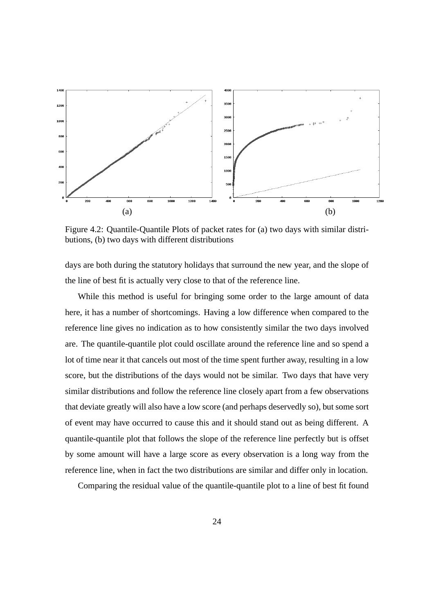

Figure 4.2: Quantile-Quantile Plots of packet rates for (a) two days with similar distributions, (b) two days with different distributions

days are both during the statutory holidays that surround the new year, and the slope of the line of best fit is actually very close to that of the reference line.

While this method is useful for bringing some order to the large amount of data here, it has a number of shortcomings. Having a low difference when compared to the reference line gives no indication as to how consistently similar the two days involved are. The quantile-quantile plot could oscillate around the reference line and so spend a lot of time near it that cancels out most of the time spent further away, resulting in a low score, but the distributions of the days would not be similar. Two days that have very similar distributions and follow the reference line closely apart from a few observations that deviate greatly will also have a low score (and perhaps deservedly so), but some sort of event may have occurred to cause this and it should stand out as being different. A quantile-quantile plot that follows the slope of the reference line perfectly but is offset by some amount will have a large score as every observation is a long way from the reference line, when in fact the two distributions are similar and differ only in location.

Comparing the residual value of the quantile-quantile plot to a line of best fit found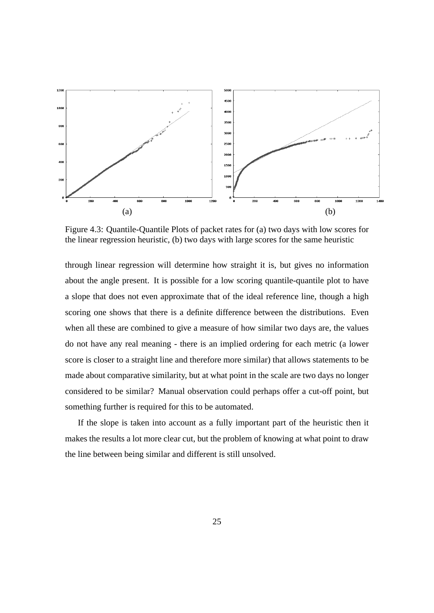

Figure 4.3: Quantile-Quantile Plots of packet rates for (a) two days with low scores for the linear regression heuristic, (b) two days with large scores for the same heuristic

through linear regression will determine how straight it is, but gives no information about the angle present. It is possible for a low scoring quantile-quantile plot to have a slope that does not even approximate that of the ideal reference line, though a high scoring one shows that there is a definite difference between the distributions. Even when all these are combined to give a measure of how similar two days are, the values do not have any real meaning - there is an implied ordering for each metric (a lower score is closer to a straight line and therefore more similar) that allows statements to be made about comparative similarity, but at what point in the scale are two days no longer considered to be similar? Manual observation could perhaps offer a cut-off point, but something further is required for this to be automated.

If the slope is taken into account as a fully important part of the heuristic then it makes the results a lot more clear cut, but the problem of knowing at what point to draw the line between being similar and different is still unsolved.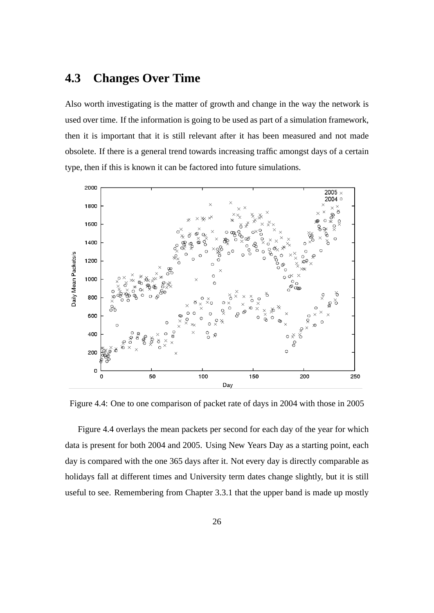### **4.3 Changes Over Time**

Also worth investigating is the matter of growth and change in the way the network is used over time. If the information is going to be used as part of a simulation framework, then it is important that it is still relevant after it has been measured and not made obsolete. If there is a general trend towards increasing traffic amongst days of a certain type, then if this is known it can be factored into future simulations.



Figure 4.4: One to one comparison of packet rate of days in 2004 with those in 2005

Figure 4.4 overlays the mean packets per second for each day of the year for which data is present for both 2004 and 2005. Using New Years Day as a starting point, each day is compared with the one 365 days after it. Not every day is directly comparable as holidays fall at different times and University term dates change slightly, but it is still useful to see. Remembering from Chapter 3.3.1 that the upper band is made up mostly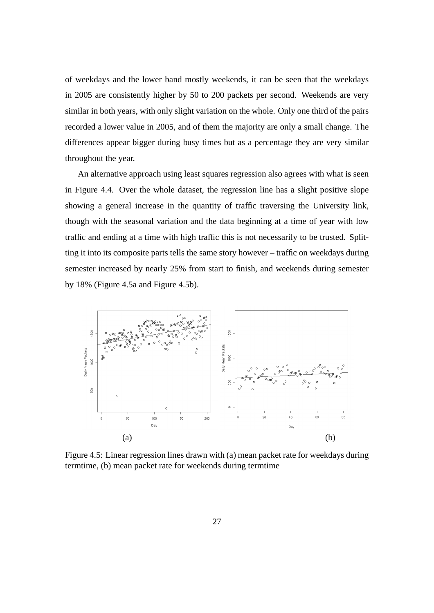of weekdays and the lower band mostly weekends, it can be seen that the weekdays in 2005 are consistently higher by 50 to 200 packets per second. Weekends are very similar in both years, with only slight variation on the whole. Only one third of the pairs recorded a lower value in 2005, and of them the majority are only a small change. The differences appear bigger during busy times but as a percentage they are very similar throughout the year.

An alternative approach using least squares regression also agrees with what is seen in Figure 4.4. Over the whole dataset, the regression line has a slight positive slope showing a general increase in the quantity of traffic traversing the University link, though with the seasonal variation and the data beginning at a time of year with low traffic and ending at a time with high traffic this is not necessarily to be trusted. Splitting it into its composite parts tells the same story however – traffic on weekdays during semester increased by nearly 25% from start to finish, and weekends during semester by 18% (Figure 4.5a and Figure 4.5b).



Figure 4.5: Linear regression lines drawn with (a) mean packet rate for weekdays during termtime, (b) mean packet rate for weekends during termtime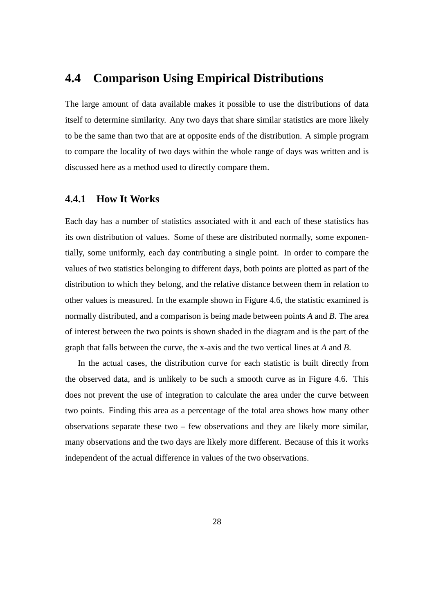# **4.4 Comparison Using Empirical Distributions**

The large amount of data available makes it possible to use the distributions of data itself to determine similarity. Any two days that share similar statistics are more likely to be the same than two that are at opposite ends of the distribution. A simple program to compare the locality of two days within the whole range of days was written and is discussed here as a method used to directly compare them.

## **4.4.1 How It Works**

Each day has a number of statistics associated with it and each of these statistics has its own distribution of values. Some of these are distributed normally, some exponentially, some uniformly, each day contributing a single point. In order to compare the values of two statistics belonging to different days, both points are plotted as part of the distribution to which they belong, and the relative distance between them in relation to other values is measured. In the example shown in Figure 4.6, the statistic examined is normally distributed, and a comparison is being made between points *A* and *B*. The area of interest between the two points is shown shaded in the diagram and is the part of the graph that falls between the curve, the x-axis and the two vertical lines at *A* and *B*.

In the actual cases, the distribution curve for each statistic is built directly from the observed data, and is unlikely to be such a smooth curve as in Figure 4.6. This does not prevent the use of integration to calculate the area under the curve between two points. Finding this area as a percentage of the total area shows how many other observations separate these two – few observations and they are likely more similar, many observations and the two days are likely more different. Because of this it works independent of the actual difference in values of the two observations.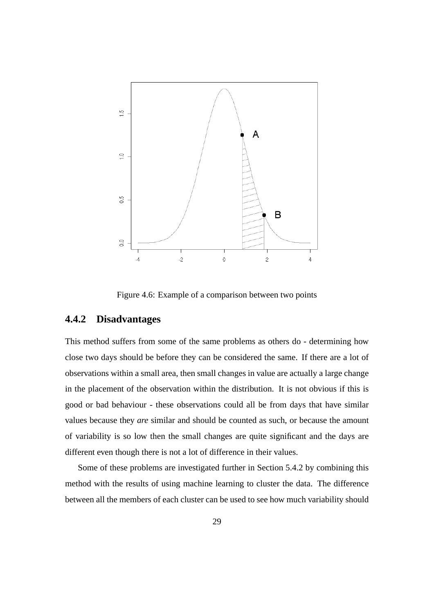

Figure 4.6: Example of a comparison between two points

## **4.4.2 Disadvantages**

This method suffers from some of the same problems as others do - determining how close two days should be before they can be considered the same. If there are a lot of observations within a small area, then small changes in value are actually a large change in the placement of the observation within the distribution. It is not obvious if this is good or bad behaviour - these observations could all be from days that have similar values because they *are* similar and should be counted as such, or because the amount of variability is so low then the small changes are quite significant and the days are different even though there is not a lot of difference in their values.

Some of these problems are investigated further in Section 5.4.2 by combining this method with the results of using machine learning to cluster the data. The difference between all the members of each cluster can be used to see how much variability should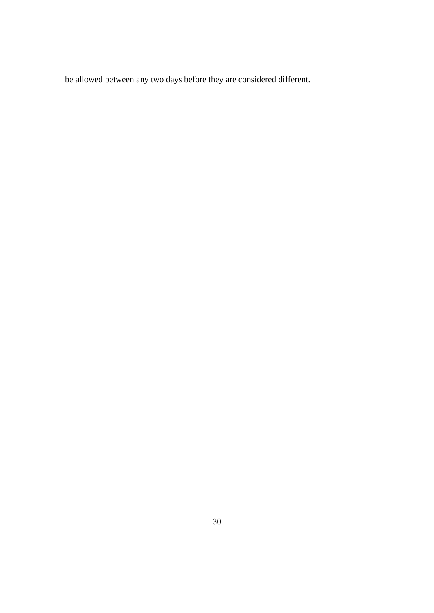be allowed between any two days before they are considered different.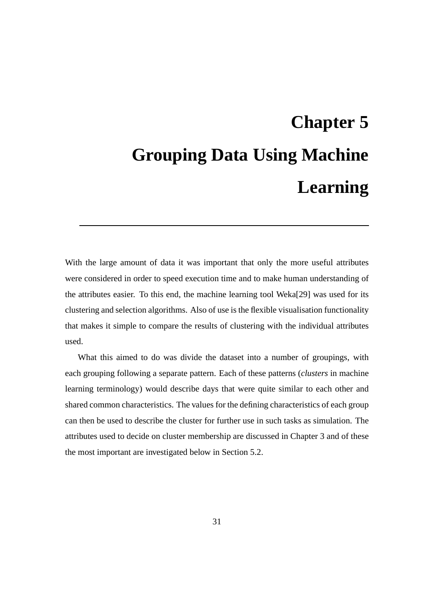# **Chapter 5 Grouping Data Using Machine Learning**

With the large amount of data it was important that only the more useful attributes were considered in order to speed execution time and to make human understanding of the attributes easier. To this end, the machine learning tool Weka[29] was used for its clustering and selection algorithms. Also of use is the flexible visualisation functionality that makes it simple to compare the results of clustering with the individual attributes used.

What this aimed to do was divide the dataset into a number of groupings, with each grouping following a separate pattern. Each of these patterns (*clusters* in machine learning terminology) would describe days that were quite similar to each other and shared common characteristics. The values for the defining characteristics of each group can then be used to describe the cluster for further use in such tasks as simulation. The attributes used to decide on cluster membership are discussed in Chapter 3 and of these the most important are investigated below in Section 5.2.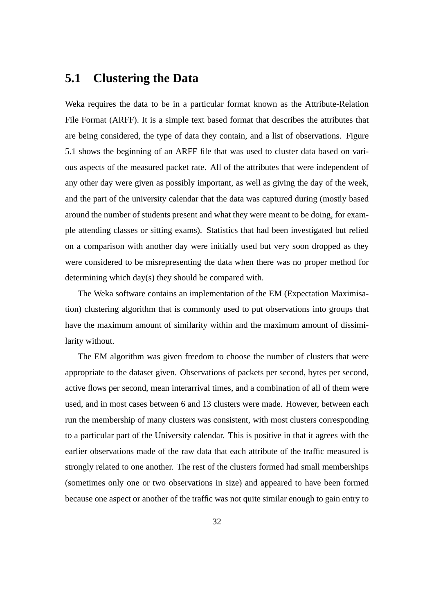# **5.1 Clustering the Data**

Weka requires the data to be in a particular format known as the Attribute-Relation File Format (ARFF). It is a simple text based format that describes the attributes that are being considered, the type of data they contain, and a list of observations. Figure 5.1 shows the beginning of an ARFF file that was used to cluster data based on various aspects of the measured packet rate. All of the attributes that were independent of any other day were given as possibly important, as well as giving the day of the week, and the part of the university calendar that the data was captured during (mostly based around the number of students present and what they were meant to be doing, for example attending classes or sitting exams). Statistics that had been investigated but relied on a comparison with another day were initially used but very soon dropped as they were considered to be misrepresenting the data when there was no proper method for determining which day(s) they should be compared with.

The Weka software contains an implementation of the EM (Expectation Maximisation) clustering algorithm that is commonly used to put observations into groups that have the maximum amount of similarity within and the maximum amount of dissimilarity without.

The EM algorithm was given freedom to choose the number of clusters that were appropriate to the dataset given. Observations of packets per second, bytes per second, active flows per second, mean interarrival times, and a combination of all of them were used, and in most cases between 6 and 13 clusters were made. However, between each run the membership of many clusters was consistent, with most clusters corresponding to a particular part of the University calendar. This is positive in that it agrees with the earlier observations made of the raw data that each attribute of the traffic measured is strongly related to one another. The rest of the clusters formed had small memberships (sometimes only one or two observations in size) and appeared to have been formed because one aspect or another of the traffic was not quite similar enough to gain entry to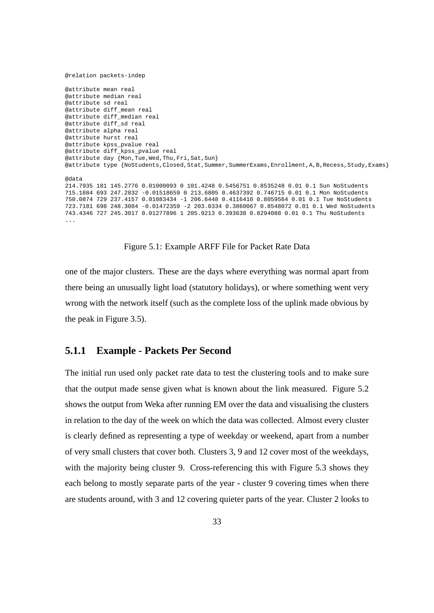```
@relation packets-indep
@attribute mean real
@attribute median real
@attribute sd real
@attribute diff mean real
@attribute diff_median real
@attribute diff_sd real
@attribute alpha real
@attribute hurst real
@attribute kpss_pvalue real
@attribute diff_kpss_pvalue real
@attribute day {Mon,Tue,Wed,Thu,Fri,Sat,Sun}
@attribute type {NoStudents,Closed,Stat,Summer,SummerExams,Enrollment,A,B,Recess,Study,Exams}
@data
214.7935 181 145.2776 0.01000093 0 101.4248 0.5456751 0.8535248 0.01 0.1 Sun NoStudents
715.1884 693 247.2832 -0.01518659 0 213.6805 0.4637392 0.746715 0.01 0.1 Mon NoStudents
750.0874 729 237.4157 0.01083434 -1 206.6448 0.4116410 0.8059564 0.01 0.1 Tue NoStudents
723.7181 698 248.3084 -0.01472359 -2 203.0334 0.3860067 0.8548072 0.01 0.1 Wed NoStudents
743.4346 727 245.3017 0.01277896 1 205.9213 0.393638 0.8294088 0.01 0.1 Thu NoStudents
...
```
Figure 5.1: Example ARFF File for Packet Rate Data

one of the major clusters. These are the days where everything was normal apart from there being an unusually light load (statutory holidays), or where something went very wrong with the network itself (such as the complete loss of the uplink made obvious by the peak in Figure 3.5).

## **5.1.1 Example - Packets Per Second**

The initial run used only packet rate data to test the clustering tools and to make sure that the output made sense given what is known about the link measured. Figure 5.2 shows the output from Weka after running EM over the data and visualising the clusters in relation to the day of the week on which the data was collected. Almost every cluster is clearly defined as representing a type of weekday or weekend, apart from a number of very small clusters that cover both. Clusters 3, 9 and 12 cover most of the weekdays, with the majority being cluster 9. Cross-referencing this with Figure 5.3 shows they each belong to mostly separate parts of the year - cluster 9 covering times when there are students around, with 3 and 12 covering quieter parts of the year. Cluster 2 looks to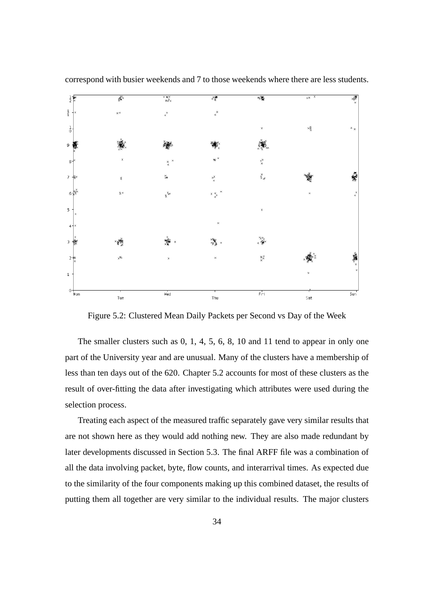

correspond with busier weekends and 7 to those weekends where there are less students.

Figure 5.2: Clustered Mean Daily Packets per Second vs Day of the Week

The smaller clusters such as 0, 1, 4, 5, 6, 8, 10 and 11 tend to appear in only one part of the University year and are unusual. Many of the clusters have a membership of less than ten days out of the 620. Chapter 5.2 accounts for most of these clusters as the result of over-fitting the data after investigating which attributes were used during the selection process.

Treating each aspect of the measured traffic separately gave very similar results that are not shown here as they would add nothing new. They are also made redundant by later developments discussed in Section 5.3. The final ARFF file was a combination of all the data involving packet, byte, flow counts, and interarrival times. As expected due to the similarity of the four components making up this combined dataset, the results of putting them all together are very similar to the individual results. The major clusters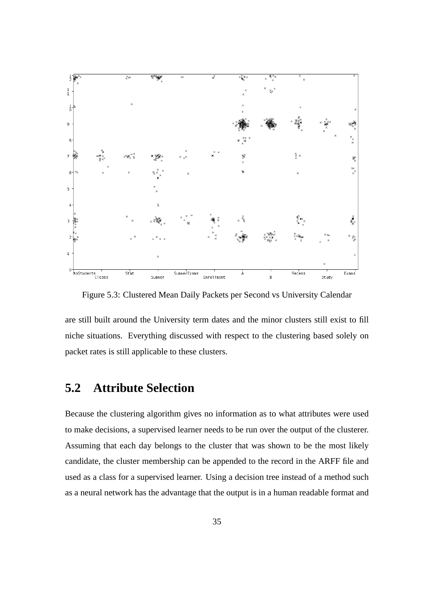

Figure 5.3: Clustered Mean Daily Packets per Second vs University Calendar

are still built around the University term dates and the minor clusters still exist to fill niche situations. Everything discussed with respect to the clustering based solely on packet rates is still applicable to these clusters.

# **5.2 Attribute Selection**

Because the clustering algorithm gives no information as to what attributes were used to make decisions, a supervised learner needs to be run over the output of the clusterer. Assuming that each day belongs to the cluster that was shown to be the most likely candidate, the cluster membership can be appended to the record in the ARFF file and used as a class for a supervised learner. Using a decision tree instead of a method such as a neural network has the advantage that the output is in a human readable format and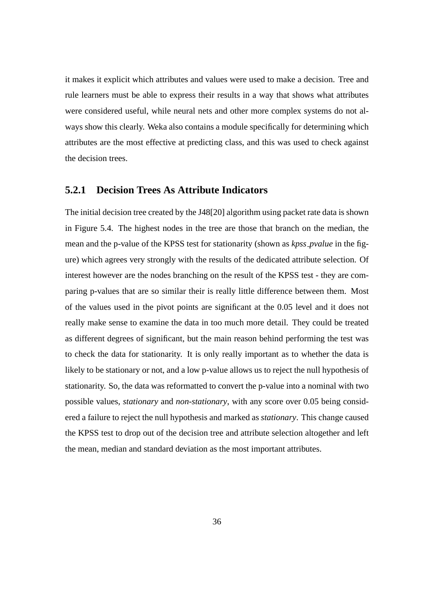it makes it explicit which attributes and values were used to make a decision. Tree and rule learners must be able to express their results in a way that shows what attributes were considered useful, while neural nets and other more complex systems do not always show this clearly. Weka also contains a module specifically for determining which attributes are the most effective at predicting class, and this was used to check against the decision trees.

## **5.2.1 Decision Trees As Attribute Indicators**

The initial decision tree created by the J48[20] algorithm using packet rate data is shown in Figure 5.4. The highest nodes in the tree are those that branch on the median, the mean and the p-value of the KPSS test for stationarity (shown as *kpss pvalue* in the figure) which agrees very strongly with the results of the dedicated attribute selection. Of interest however are the nodes branching on the result of the KPSS test - they are comparing p-values that are so similar their is really little difference between them. Most of the values used in the pivot points are significant at the 0.05 level and it does not really make sense to examine the data in too much more detail. They could be treated as different degrees of significant, but the main reason behind performing the test was to check the data for stationarity. It is only really important as to whether the data is likely to be stationary or not, and a low p-value allows us to reject the null hypothesis of stationarity. So, the data was reformatted to convert the p-value into a nominal with two possible values, *stationary* and *non-stationary*, with any score over 0.05 being considered a failure to reject the null hypothesis and marked as *stationary*. This change caused the KPSS test to drop out of the decision tree and attribute selection altogether and left the mean, median and standard deviation as the most important attributes.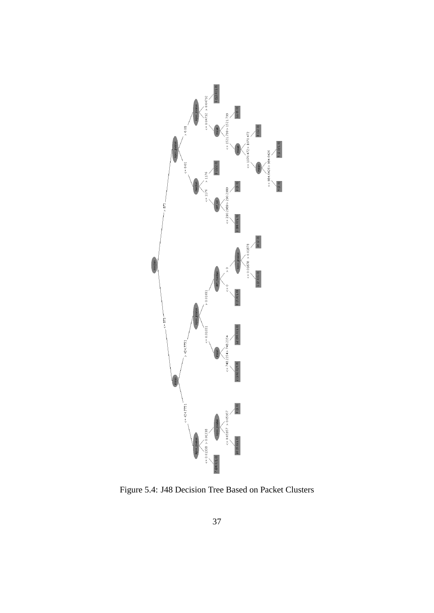

Figure 5.4: J48 Decision Tree Based on Packet Clusters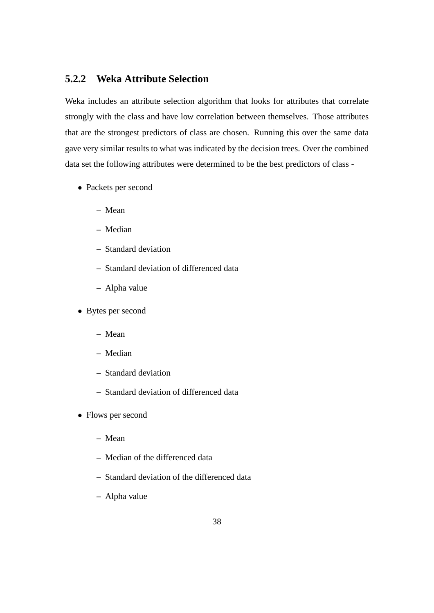# **5.2.2 Weka Attribute Selection**

Weka includes an attribute selection algorithm that looks for attributes that correlate strongly with the class and have low correlation between themselves. Those attributes that are the strongest predictors of class are chosen. Running this over the same data gave very similar results to what was indicated by the decision trees. Over the combined data set the following attributes were determined to be the best predictors of class -

- Packets per second
	- **–** Mean
	- **–** Median
	- **–** Standard deviation
	- **–** Standard deviation of differenced data
	- **–** Alpha value
- Bytes per second
	- **–** Mean
	- **–** Median
	- **–** Standard deviation
	- **–** Standard deviation of differenced data
- Flows per second
	- **–** Mean
	- **–** Median of the differenced data
	- **–** Standard deviation of the differenced data
	- **–** Alpha value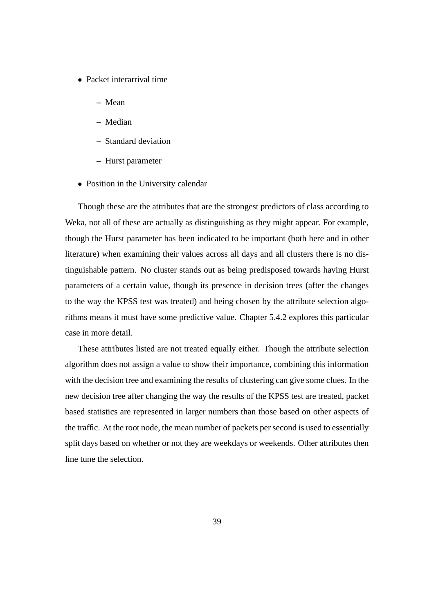- Packet interarrival time
	- **–** Mean
	- **–** Median
	- **–** Standard deviation
	- **–** Hurst parameter
- Position in the University calendar

Though these are the attributes that are the strongest predictors of class according to Weka, not all of these are actually as distinguishing as they might appear. For example, though the Hurst parameter has been indicated to be important (both here and in other literature) when examining their values across all days and all clusters there is no distinguishable pattern. No cluster stands out as being predisposed towards having Hurst parameters of a certain value, though its presence in decision trees (after the changes to the way the KPSS test was treated) and being chosen by the attribute selection algorithms means it must have some predictive value. Chapter 5.4.2 explores this particular case in more detail.

These attributes listed are not treated equally either. Though the attribute selection algorithm does not assign a value to show their importance, combining this information with the decision tree and examining the results of clustering can give some clues. In the new decision tree after changing the way the results of the KPSS test are treated, packet based statistics are represented in larger numbers than those based on other aspects of the traffic. At the root node, the mean number of packets per second is used to essentially split days based on whether or not they are weekdays or weekends. Other attributes then fine tune the selection.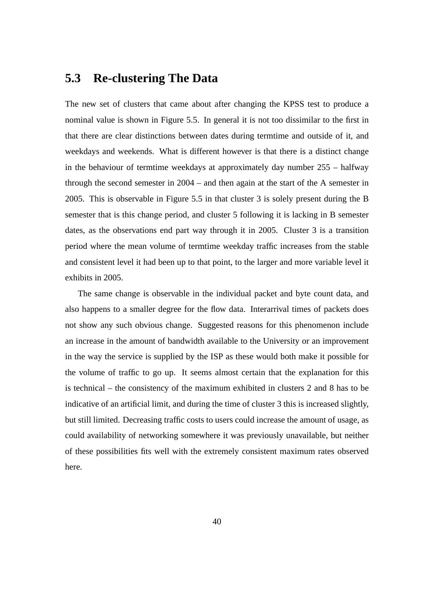# **5.3 Re-clustering The Data**

The new set of clusters that came about after changing the KPSS test to produce a nominal value is shown in Figure 5.5. In general it is not too dissimilar to the first in that there are clear distinctions between dates during termtime and outside of it, and weekdays and weekends. What is different however is that there is a distinct change in the behaviour of termtime weekdays at approximately day number 255 – halfway through the second semester in 2004 – and then again at the start of the A semester in 2005. This is observable in Figure 5.5 in that cluster 3 is solely present during the B semester that is this change period, and cluster 5 following it is lacking in B semester dates, as the observations end part way through it in 2005. Cluster 3 is a transition period where the mean volume of termtime weekday traffic increases from the stable and consistent level it had been up to that point, to the larger and more variable level it exhibits in 2005.

The same change is observable in the individual packet and byte count data, and also happens to a smaller degree for the flow data. Interarrival times of packets does not show any such obvious change. Suggested reasons for this phenomenon include an increase in the amount of bandwidth available to the University or an improvement in the way the service is supplied by the ISP as these would both make it possible for the volume of traffic to go up. It seems almost certain that the explanation for this is technical – the consistency of the maximum exhibited in clusters 2 and 8 has to be indicative of an artificial limit, and during the time of cluster 3 this is increased slightly, but still limited. Decreasing traffic costs to users could increase the amount of usage, as could availability of networking somewhere it was previously unavailable, but neither of these possibilities fits well with the extremely consistent maximum rates observed here.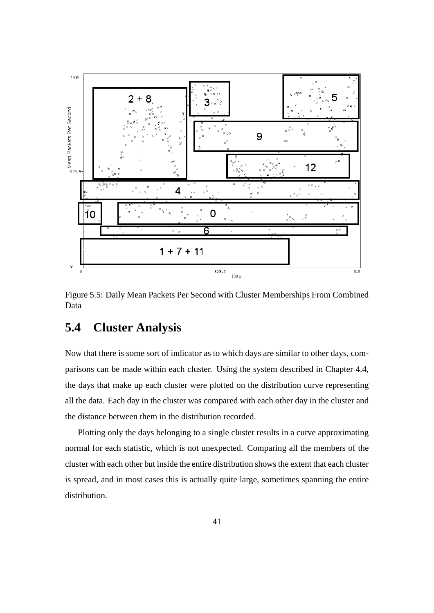

Figure 5.5: Daily Mean Packets Per Second with Cluster Memberships From Combined Data

# **5.4 Cluster Analysis**

Now that there is some sort of indicator as to which days are similar to other days, comparisons can be made within each cluster. Using the system described in Chapter 4.4, the days that make up each cluster were plotted on the distribution curve representing all the data. Each day in the cluster was compared with each other day in the cluster and the distance between them in the distribution recorded.

Plotting only the days belonging to a single cluster results in a curve approximating normal for each statistic, which is not unexpected. Comparing all the members of the cluster with each other but inside the entire distribution shows the extent that each cluster is spread, and in most cases this is actually quite large, sometimes spanning the entire distribution.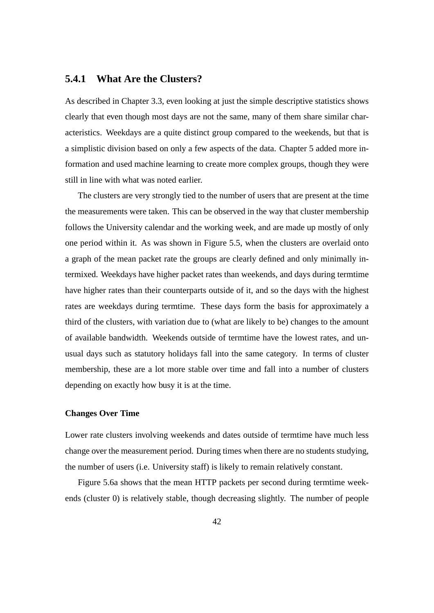## **5.4.1 What Are the Clusters?**

As described in Chapter 3.3, even looking at just the simple descriptive statistics shows clearly that even though most days are not the same, many of them share similar characteristics. Weekdays are a quite distinct group compared to the weekends, but that is a simplistic division based on only a few aspects of the data. Chapter 5 added more information and used machine learning to create more complex groups, though they were still in line with what was noted earlier.

The clusters are very strongly tied to the number of users that are present at the time the measurements were taken. This can be observed in the way that cluster membership follows the University calendar and the working week, and are made up mostly of only one period within it. As was shown in Figure 5.5, when the clusters are overlaid onto a graph of the mean packet rate the groups are clearly defined and only minimally intermixed. Weekdays have higher packet rates than weekends, and days during termtime have higher rates than their counterparts outside of it, and so the days with the highest rates are weekdays during termtime. These days form the basis for approximately a third of the clusters, with variation due to (what are likely to be) changes to the amount of available bandwidth. Weekends outside of termtime have the lowest rates, and unusual days such as statutory holidays fall into the same category. In terms of cluster membership, these are a lot more stable over time and fall into a number of clusters depending on exactly how busy it is at the time.

## **Changes Over Time**

Lower rate clusters involving weekends and dates outside of termtime have much less change over the measurement period. During times when there are no students studying, the number of users (i.e. University staff) is likely to remain relatively constant.

Figure 5.6a shows that the mean HTTP packets per second during termtime weekends (cluster 0) is relatively stable, though decreasing slightly. The number of people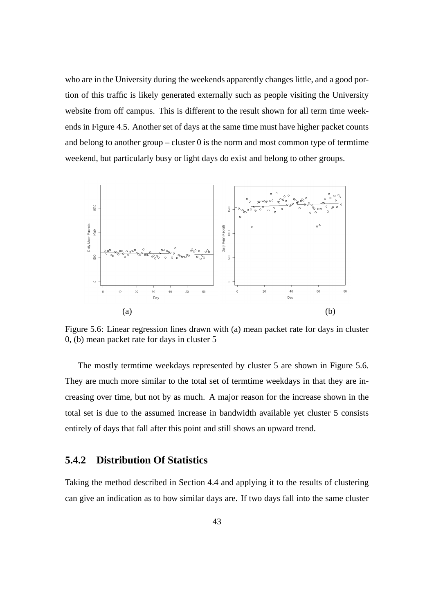who are in the University during the weekends apparently changes little, and a good portion of this traffic is likely generated externally such as people visiting the University website from off campus. This is different to the result shown for all term time weekends in Figure 4.5. Another set of days at the same time must have higher packet counts and belong to another group – cluster  $\theta$  is the norm and most common type of termtime weekend, but particularly busy or light days do exist and belong to other groups.



Figure 5.6: Linear regression lines drawn with (a) mean packet rate for days in cluster 0, (b) mean packet rate for days in cluster 5

The mostly termtime weekdays represented by cluster 5 are shown in Figure 5.6. They are much more similar to the total set of termtime weekdays in that they are increasing over time, but not by as much. A major reason for the increase shown in the total set is due to the assumed increase in bandwidth available yet cluster 5 consists entirely of days that fall after this point and still shows an upward trend.

## **5.4.2 Distribution Of Statistics**

Taking the method described in Section 4.4 and applying it to the results of clustering can give an indication as to how similar days are. If two days fall into the same cluster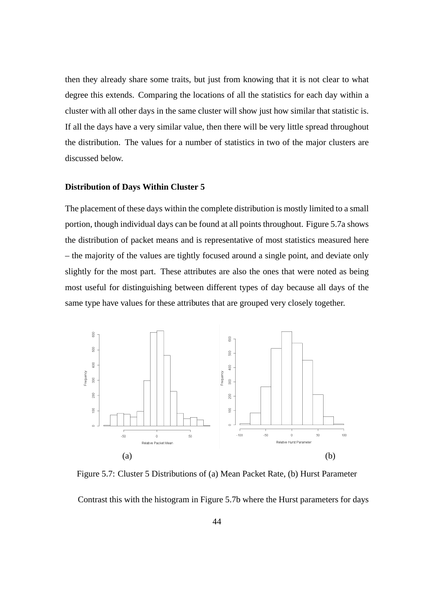then they already share some traits, but just from knowing that it is not clear to what degree this extends. Comparing the locations of all the statistics for each day within a cluster with all other days in the same cluster will show just how similar that statistic is. If all the days have a very similar value, then there will be very little spread throughout the distribution. The values for a number of statistics in two of the major clusters are discussed below.

#### **Distribution of Days Within Cluster 5**

The placement of these days within the complete distribution is mostly limited to a small portion, though individual days can be found at all points throughout. Figure 5.7a shows the distribution of packet means and is representative of most statistics measured here – the majority of the values are tightly focused around a single point, and deviate only slightly for the most part. These attributes are also the ones that were noted as being most useful for distinguishing between different types of day because all days of the same type have values for these attributes that are grouped very closely together.



Figure 5.7: Cluster 5 Distributions of (a) Mean Packet Rate, (b) Hurst Parameter Contrast this with the histogram in Figure 5.7b where the Hurst parameters for days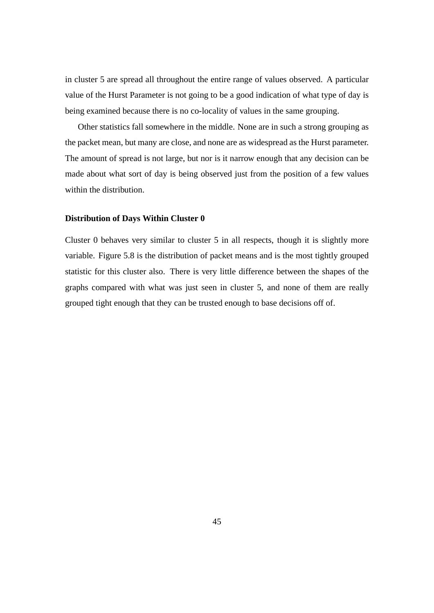in cluster 5 are spread all throughout the entire range of values observed. A particular value of the Hurst Parameter is not going to be a good indication of what type of day is being examined because there is no co-locality of values in the same grouping.

Other statistics fall somewhere in the middle. None are in such a strong grouping as the packet mean, but many are close, and none are as widespread as the Hurst parameter. The amount of spread is not large, but nor is it narrow enough that any decision can be made about what sort of day is being observed just from the position of a few values within the distribution.

#### **Distribution of Days Within Cluster 0**

Cluster 0 behaves very similar to cluster 5 in all respects, though it is slightly more variable. Figure 5.8 is the distribution of packet means and is the most tightly grouped statistic for this cluster also. There is very little difference between the shapes of the graphs compared with what was just seen in cluster 5, and none of them are really grouped tight enough that they can be trusted enough to base decisions off of.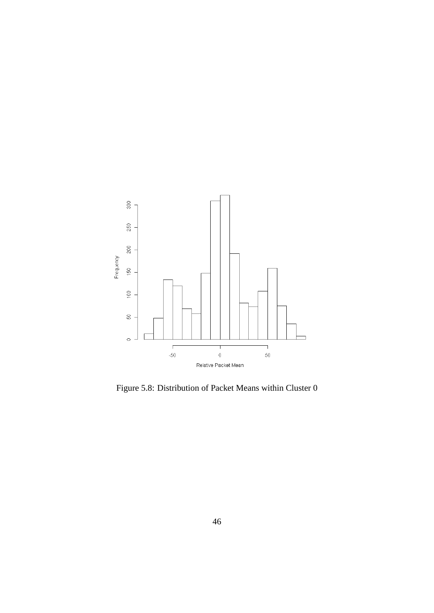

Figure 5.8: Distribution of Packet Means within Cluster 0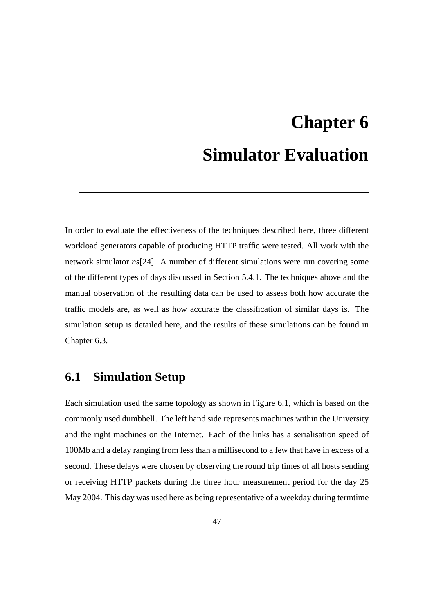# **Chapter 6 Simulator Evaluation**

In order to evaluate the effectiveness of the techniques described here, three different workload generators capable of producing HTTP traffic were tested. All work with the network simulator *ns*[24]. A number of different simulations were run covering some of the different types of days discussed in Section 5.4.1. The techniques above and the manual observation of the resulting data can be used to assess both how accurate the traffic models are, as well as how accurate the classification of similar days is. The simulation setup is detailed here, and the results of these simulations can be found in Chapter 6.3.

# **6.1 Simulation Setup**

Each simulation used the same topology as shown in Figure 6.1, which is based on the commonly used dumbbell. The left hand side represents machines within the University and the right machines on the Internet. Each of the links has a serialisation speed of 100Mb and a delay ranging from less than a millisecond to a few that have in excess of a second. These delays were chosen by observing the round trip times of all hosts sending or receiving HTTP packets during the three hour measurement period for the day 25 May 2004. This day was used here as being representative of a weekday during termtime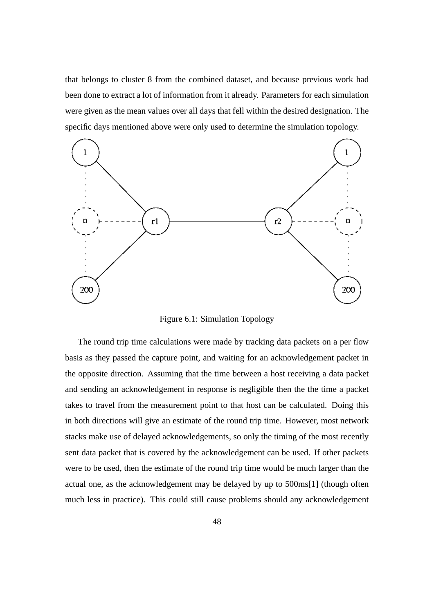that belongs to cluster 8 from the combined dataset, and because previous work had been done to extract a lot of information from it already. Parameters for each simulation were given as the mean values over all days that fell within the desired designation. The specific days mentioned above were only used to determine the simulation topology.



Figure 6.1: Simulation Topology

The round trip time calculations were made by tracking data packets on a per flow basis as they passed the capture point, and waiting for an acknowledgement packet in the opposite direction. Assuming that the time between a host receiving a data packet and sending an acknowledgement in response is negligible then the the time a packet takes to travel from the measurement point to that host can be calculated. Doing this in both directions will give an estimate of the round trip time. However, most network stacks make use of delayed acknowledgements, so only the timing of the most recently sent data packet that is covered by the acknowledgement can be used. If other packets were to be used, then the estimate of the round trip time would be much larger than the actual one, as the acknowledgement may be delayed by up to 500ms[1] (though often much less in practice). This could still cause problems should any acknowledgement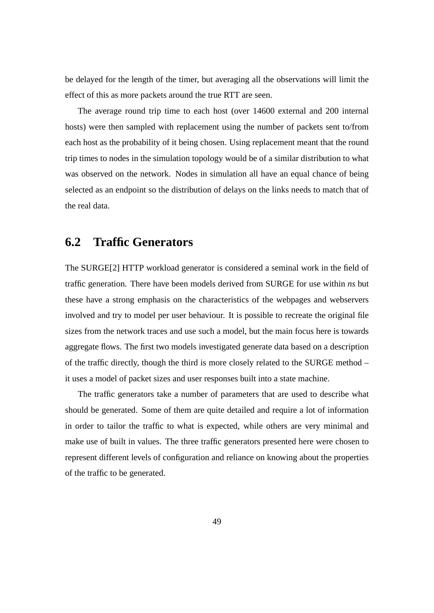be delayed for the length of the timer, but averaging all the observations will limit the effect of this as more packets around the true RTT are seen.

The average round trip time to each host (over 14600 external and 200 internal hosts) were then sampled with replacement using the number of packets sent to/from each host as the probability of it being chosen. Using replacement meant that the round trip times to nodes in the simulation topology would be of a similar distribution to what was observed on the network. Nodes in simulation all have an equal chance of being selected as an endpoint so the distribution of delays on the links needs to match that of the real data.

# **6.2 Traffic Generators**

The SURGE[2] HTTP workload generator is considered a seminal work in the field of traffic generation. There have been models derived from SURGE for use within *ns* but these have a strong emphasis on the characteristics of the webpages and webservers involved and try to model per user behaviour. It is possible to recreate the original file sizes from the network traces and use such a model, but the main focus here is towards aggregate flows. The first two models investigated generate data based on a description of the traffic directly, though the third is more closely related to the SURGE method – it uses a model of packet sizes and user responses built into a state machine.

The traffic generators take a number of parameters that are used to describe what should be generated. Some of them are quite detailed and require a lot of information in order to tailor the traffic to what is expected, while others are very minimal and make use of built in values. The three traffic generators presented here were chosen to represent different levels of configuration and reliance on knowing about the properties of the traffic to be generated.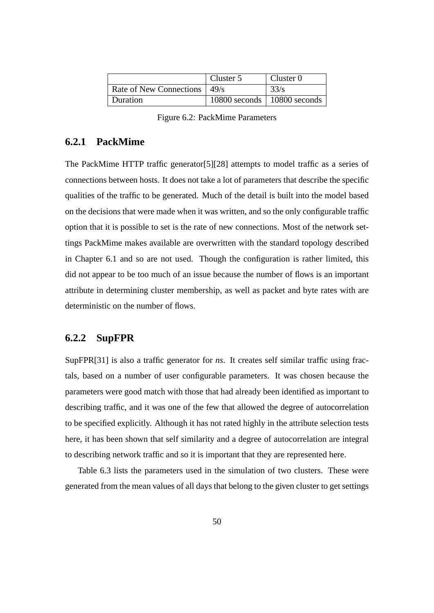|                                | Cluster 5                       | Cluster $0$ |
|--------------------------------|---------------------------------|-------------|
| Rate of New Connections   49/s |                                 | 33/s        |
| Duration                       | $10800$ seconds   10800 seconds |             |

Figure 6.2: PackMime Parameters

# **6.2.1 PackMime**

The PackMime HTTP traffic generator[5][28] attempts to model traffic as a series of connections between hosts. It does not take a lot of parameters that describe the specific qualities of the traffic to be generated. Much of the detail is built into the model based on the decisions that were made when it was written, and so the only configurable traffic option that it is possible to set is the rate of new connections. Most of the network settings PackMime makes available are overwritten with the standard topology described in Chapter 6.1 and so are not used. Though the configuration is rather limited, this did not appear to be too much of an issue because the number of flows is an important attribute in determining cluster membership, as well as packet and byte rates with are deterministic on the number of flows.

## **6.2.2 SupFPR**

SupFPR[31] is also a traffic generator for *ns*. It creates self similar traffic using fractals, based on a number of user configurable parameters. It was chosen because the parameters were good match with those that had already been identified as important to describing traffic, and it was one of the few that allowed the degree of autocorrelation to be specified explicitly. Although it has not rated highly in the attribute selection tests here, it has been shown that self similarity and a degree of autocorrelation are integral to describing network traffic and so it is important that they are represented here.

Table 6.3 lists the parameters used in the simulation of two clusters. These were generated from the mean values of all days that belong to the given cluster to get settings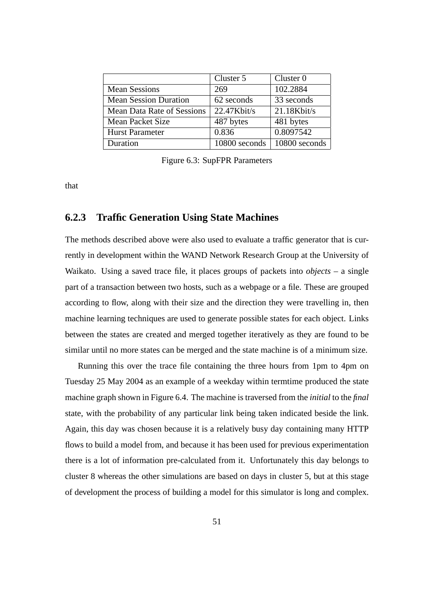|                              | Cluster 5      | Cluster $0$            |
|------------------------------|----------------|------------------------|
| <b>Mean Sessions</b>         | 269            | 102.2884               |
| <b>Mean Session Duration</b> | 62 seconds     | 33 seconds             |
| Mean Data Rate of Sessions   | $22.47$ Kbit/s | 21.18Kbit/s            |
| Mean Packet Size             | 487 bytes      | 481 bytes              |
| <b>Hurst Parameter</b>       | 0.836          | $\overline{0.80975}42$ |
| Duration                     | 10800 seconds  | 10800 seconds          |

Figure 6.3: SupFPR Parameters

that

### **6.2.3 Traffic Generation Using State Machines**

The methods described above were also used to evaluate a traffic generator that is currently in development within the WAND Network Research Group at the University of Waikato. Using a saved trace file, it places groups of packets into *objects* – a single part of a transaction between two hosts, such as a webpage or a file. These are grouped according to flow, along with their size and the direction they were travelling in, then machine learning techniques are used to generate possible states for each object. Links between the states are created and merged together iteratively as they are found to be similar until no more states can be merged and the state machine is of a minimum size.

Running this over the trace file containing the three hours from 1pm to 4pm on Tuesday 25 May 2004 as an example of a weekday within termtime produced the state machine graph shown in Figure 6.4. The machine is traversed from the *initial* to the *final* state, with the probability of any particular link being taken indicated beside the link. Again, this day was chosen because it is a relatively busy day containing many HTTP flows to build a model from, and because it has been used for previous experimentation there is a lot of information pre-calculated from it. Unfortunately this day belongs to cluster 8 whereas the other simulations are based on days in cluster 5, but at this stage of development the process of building a model for this simulator is long and complex.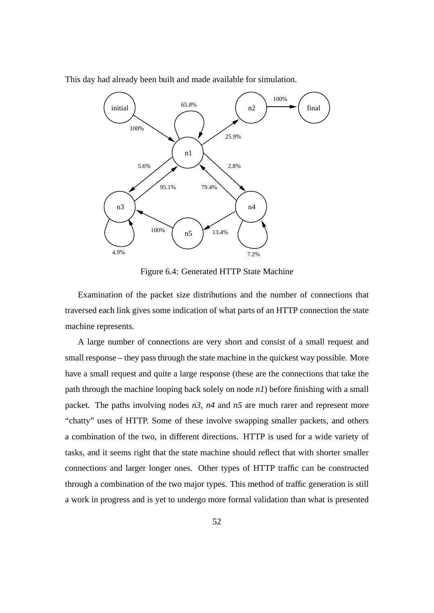

This day had already been built and made available for simulation.

Figure 6.4: Generated HTTP State Machine

Examination of the packet size distributions and the number of connections that traversed each link gives some indication of what parts of an HTTP connection the state machine represents.

A large number of connections are very short and consist of a small request and small response – they pass through the state machine in the quickest way possible. More have a small request and quite a large response (these are the connections that take the path through the machine looping back solely on node *n1*) before finishing with a small packet. The paths involving nodes *n3*, *n4* and *n5* are much rarer and represent more "chatty" uses of HTTP. Some of these involve swapping smaller packets, and others a combination of the two, in different directions. HTTP is used for a wide variety of tasks, and it seems right that the state machine should reflect that with shorter smaller connections and larger longer ones. Other types of HTTP traffic can be constructed through a combination of the two major types. This method of traffic generation is still a work in progress and is yet to undergo more formal validation than what is presented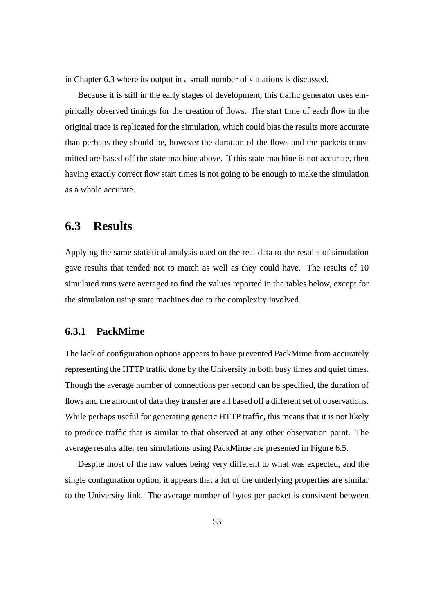in Chapter 6.3 where its output in a small number of situations is discussed.

Because it is still in the early stages of development, this traffic generator uses empirically observed timings for the creation of flows. The start time of each flow in the original trace is replicated for the simulation, which could bias the results more accurate than perhaps they should be, however the duration of the flows and the packets transmitted are based off the state machine above. If this state machine is not accurate, then having exactly correct flow start times is not going to be enough to make the simulation as a whole accurate.

# **6.3 Results**

Applying the same statistical analysis used on the real data to the results of simulation gave results that tended not to match as well as they could have. The results of 10 simulated runs were averaged to find the values reported in the tables below, except for the simulation using state machines due to the complexity involved.

## **6.3.1 PackMime**

The lack of configuration options appears to have prevented PackMime from accurately representing the HTTP traffic done by the University in both busy times and quiet times. Though the average number of connections per second can be specified, the duration of flows and the amount of data they transfer are all based off a different set of observations. While perhaps useful for generating generic HTTP traffic, this means that it is not likely to produce traffic that is similar to that observed at any other observation point. The average results after ten simulations using PackMime are presented in Figure 6.5.

Despite most of the raw values being very different to what was expected, and the single configuration option, it appears that a lot of the underlying properties are similar to the University link. The average number of bytes per packet is consistent between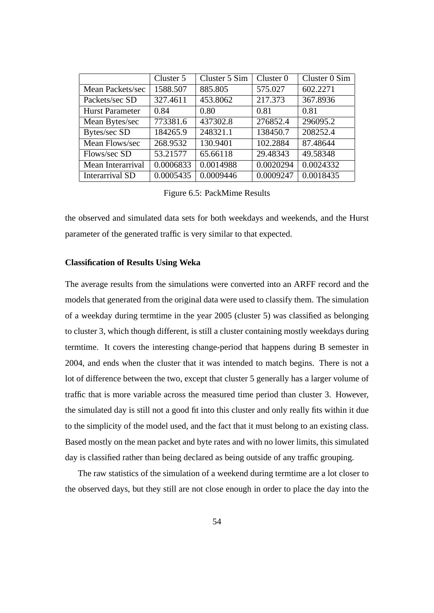|                        | Cluster 5 | Cluster 5 Sim | Cluster $0$ | Cluster 0 Sim |
|------------------------|-----------|---------------|-------------|---------------|
| Mean Packets/sec       | 1588.507  | 885.805       | 575.027     | 602.2271      |
| Packets/sec SD         | 327.4611  | 453.8062      | 217.373     | 367.8936      |
| <b>Hurst Parameter</b> | 0.84      | 0.80          | 0.81        | 0.81          |
| Mean Bytes/sec         | 773381.6  | 437302.8      | 276852.4    | 296095.2      |
| Bytes/sec SD           | 184265.9  | 248321.1      | 138450.7    | 208252.4      |
| Mean Flows/sec         | 268.9532  | 130.9401      | 102.2884    | 87.48644      |
| Flows/sec SD           | 53.21577  | 65.66118      | 29.48343    | 49.58348      |
| Mean Interarrival      | 0.0006833 | 0.0014988     | 0.0020294   | 0.0024332     |
| <b>Interarrival SD</b> | 0.0005435 | 0.0009446     | 0.0009247   | 0.0018435     |

Figure 6.5: PackMime Results

the observed and simulated data sets for both weekdays and weekends, and the Hurst parameter of the generated traffic is very similar to that expected.

#### **Classification of Results Using Weka**

The average results from the simulations were converted into an ARFF record and the models that generated from the original data were used to classify them. The simulation of a weekday during termtime in the year 2005 (cluster 5) was classified as belonging to cluster 3, which though different, is still a cluster containing mostly weekdays during termtime. It covers the interesting change-period that happens during B semester in 2004, and ends when the cluster that it was intended to match begins. There is not a lot of difference between the two, except that cluster 5 generally has a larger volume of traffic that is more variable across the measured time period than cluster 3. However, the simulated day is still not a good fit into this cluster and only really fits within it due to the simplicity of the model used, and the fact that it must belong to an existing class. Based mostly on the mean packet and byte rates and with no lower limits, this simulated day is classified rather than being declared as being outside of any traffic grouping.

The raw statistics of the simulation of a weekend during termtime are a lot closer to the observed days, but they still are not close enough in order to place the day into the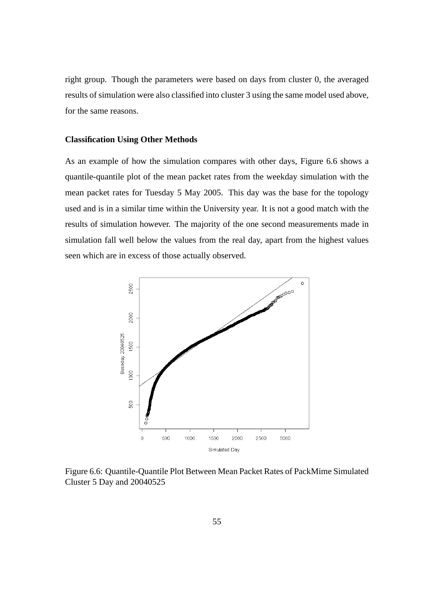right group. Though the parameters were based on days from cluster 0, the averaged results of simulation were also classified into cluster 3 using the same model used above, for the same reasons.

### **Classification Using Other Methods**

As an example of how the simulation compares with other days, Figure 6.6 shows a quantile-quantile plot of the mean packet rates from the weekday simulation with the mean packet rates for Tuesday 5 May 2005. This day was the base for the topology used and is in a similar time within the University year. It is not a good match with the results of simulation however. The majority of the one second measurements made in simulation fall well below the values from the real day, apart from the highest values seen which are in excess of those actually observed.



Figure 6.6: Quantile-Quantile Plot Between Mean Packet Rates of PackMime Simulated Cluster 5 Day and 20040525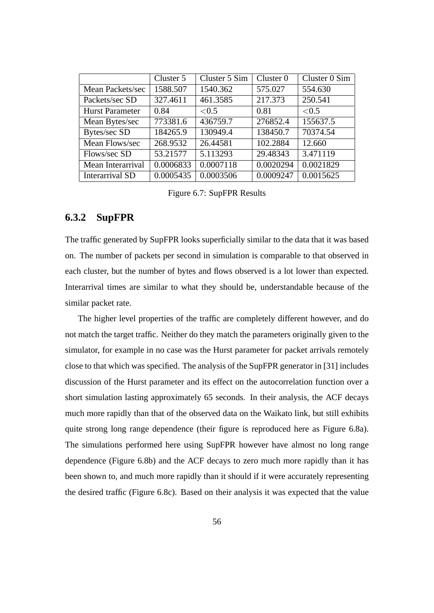|                        | Cluster 5 | Cluster 5 Sim | Cluster $0$ | Cluster 0 Sim |
|------------------------|-----------|---------------|-------------|---------------|
| Mean Packets/sec       | 1588.507  | 1540.362      | 575.027     | 554.630       |
| Packets/sec SD         | 327.4611  | 461.3585      | 217.373     | 250.541       |
| <b>Hurst Parameter</b> | 0.84      | < 0.5         | 0.81        | < 0.5         |
| Mean Bytes/sec         | 773381.6  | 436759.7      | 276852.4    | 155637.5      |
| Bytes/sec SD           | 184265.9  | 130949.4      | 138450.7    | 70374.54      |
| Mean Flows/sec         | 268.9532  | 26.44581      | 102.2884    | 12.660        |
| Flows/sec SD           | 53.21577  | 5.113293      | 29.48343    | 3.471119      |
| Mean Interarrival      | 0.0006833 | 0.0007118     | 0.0020294   | 0.0021829     |
| <b>Interarrival SD</b> | 0.0005435 | 0.0003506     | 0.0009247   | 0.0015625     |

Figure 6.7: SupFPR Results

### **6.3.2 SupFPR**

The traffic generated by SupFPR looks superficially similar to the data that it was based on. The number of packets per second in simulation is comparable to that observed in each cluster, but the number of bytes and flows observed is a lot lower than expected. Interarrival times are similar to what they should be, understandable because of the similar packet rate.

The higher level properties of the traffic are completely different however, and do not match the target traffic. Neither do they match the parameters originally given to the simulator, for example in no case was the Hurst parameter for packet arrivals remotely close to that which was specified. The analysis of the SupFPR generator in [31] includes discussion of the Hurst parameter and its effect on the autocorrelation function over a short simulation lasting approximately 65 seconds. In their analysis, the ACF decays much more rapidly than that of the observed data on the Waikato link, but still exhibits quite strong long range dependence (their figure is reproduced here as Figure 6.8a). The simulations performed here using SupFPR however have almost no long range dependence (Figure 6.8b) and the ACF decays to zero much more rapidly than it has been shown to, and much more rapidly than it should if it were accurately representing the desired traffic (Figure 6.8c). Based on their analysis it was expected that the value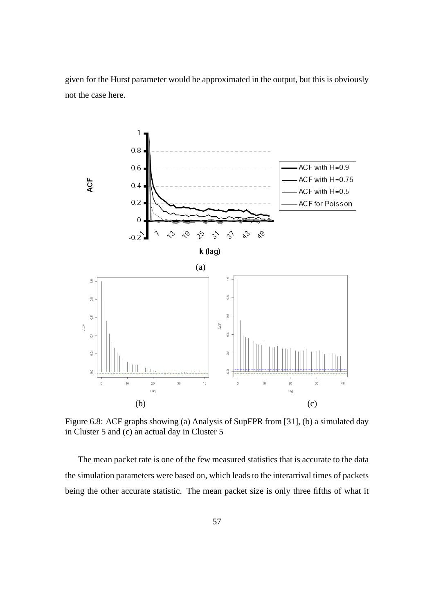given for the Hurst parameter would be approximated in the output, but this is obviously not the case here.



Figure 6.8: ACF graphs showing (a) Analysis of SupFPR from [31], (b) a simulated day in Cluster 5 and (c) an actual day in Cluster 5

The mean packet rate is one of the few measured statistics that is accurate to the data the simulation parameters were based on, which leads to the interarrival times of packets being the other accurate statistic. The mean packet size is only three fifths of what it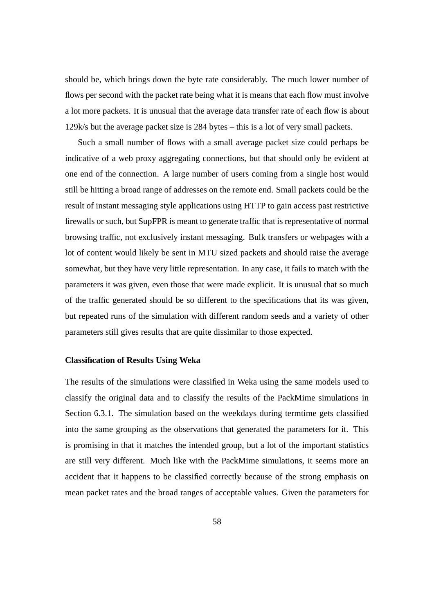should be, which brings down the byte rate considerably. The much lower number of flows per second with the packet rate being what it is means that each flow must involve a lot more packets. It is unusual that the average data transfer rate of each flow is about 129k/s but the average packet size is 284 bytes – this is a lot of very small packets.

Such a small number of flows with a small average packet size could perhaps be indicative of a web proxy aggregating connections, but that should only be evident at one end of the connection. A large number of users coming from a single host would still be hitting a broad range of addresses on the remote end. Small packets could be the result of instant messaging style applications using HTTP to gain access past restrictive firewalls or such, but SupFPR is meant to generate traffic that is representative of normal browsing traffic, not exclusively instant messaging. Bulk transfers or webpages with a lot of content would likely be sent in MTU sized packets and should raise the average somewhat, but they have very little representation. In any case, it fails to match with the parameters it was given, even those that were made explicit. It is unusual that so much of the traffic generated should be so different to the specifications that its was given, but repeated runs of the simulation with different random seeds and a variety of other parameters still gives results that are quite dissimilar to those expected.

#### **Classification of Results Using Weka**

The results of the simulations were classified in Weka using the same models used to classify the original data and to classify the results of the PackMime simulations in Section 6.3.1. The simulation based on the weekdays during termtime gets classified into the same grouping as the observations that generated the parameters for it. This is promising in that it matches the intended group, but a lot of the important statistics are still very different. Much like with the PackMime simulations, it seems more an accident that it happens to be classified correctly because of the strong emphasis on mean packet rates and the broad ranges of acceptable values. Given the parameters for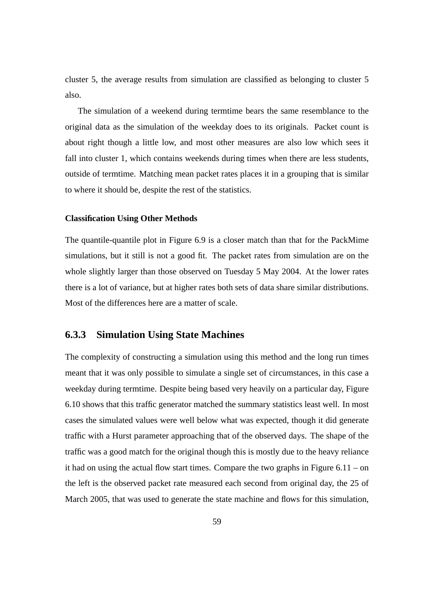cluster 5, the average results from simulation are classified as belonging to cluster 5 also.

The simulation of a weekend during termtime bears the same resemblance to the original data as the simulation of the weekday does to its originals. Packet count is about right though a little low, and most other measures are also low which sees it fall into cluster 1, which contains weekends during times when there are less students, outside of termtime. Matching mean packet rates places it in a grouping that is similar to where it should be, despite the rest of the statistics.

#### **Classification Using Other Methods**

The quantile-quantile plot in Figure 6.9 is a closer match than that for the PackMime simulations, but it still is not a good fit. The packet rates from simulation are on the whole slightly larger than those observed on Tuesday 5 May 2004. At the lower rates there is a lot of variance, but at higher rates both sets of data share similar distributions. Most of the differences here are a matter of scale.

# **6.3.3 Simulation Using State Machines**

The complexity of constructing a simulation using this method and the long run times meant that it was only possible to simulate a single set of circumstances, in this case a weekday during termtime. Despite being based very heavily on a particular day, Figure 6.10 shows that this traffic generator matched the summary statistics least well. In most cases the simulated values were well below what was expected, though it did generate traffic with a Hurst parameter approaching that of the observed days. The shape of the traffic was a good match for the original though this is mostly due to the heavy reliance it had on using the actual flow start times. Compare the two graphs in Figure 6.11 – on the left is the observed packet rate measured each second from original day, the 25 of March 2005, that was used to generate the state machine and flows for this simulation,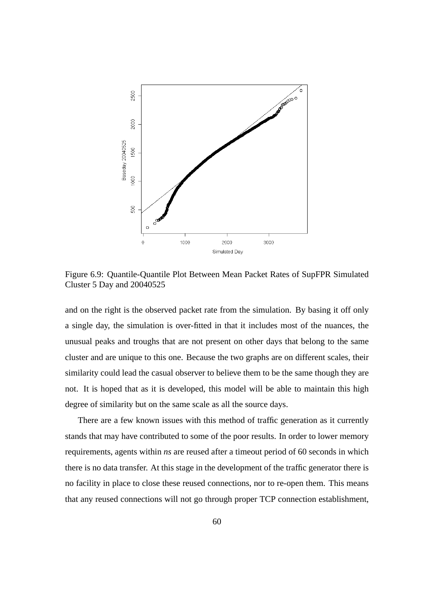

Figure 6.9: Quantile-Quantile Plot Between Mean Packet Rates of SupFPR Simulated Cluster 5 Day and 20040525

and on the right is the observed packet rate from the simulation. By basing it off only a single day, the simulation is over-fitted in that it includes most of the nuances, the unusual peaks and troughs that are not present on other days that belong to the same cluster and are unique to this one. Because the two graphs are on different scales, their similarity could lead the casual observer to believe them to be the same though they are not. It is hoped that as it is developed, this model will be able to maintain this high degree of similarity but on the same scale as all the source days.

There are a few known issues with this method of traffic generation as it currently stands that may have contributed to some of the poor results. In order to lower memory requirements, agents within *ns* are reused after a timeout period of 60 seconds in which there is no data transfer. At this stage in the development of the traffic generator there is no facility in place to close these reused connections, nor to re-open them. This means that any reused connections will not go through proper TCP connection establishment,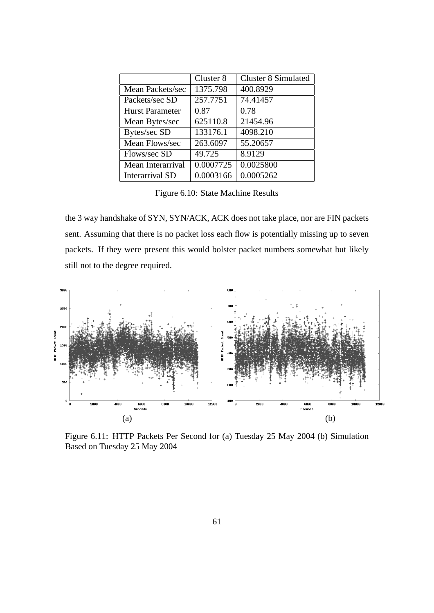|                        | Cluster 8 | <b>Cluster 8 Simulated</b> |
|------------------------|-----------|----------------------------|
| Mean Packets/sec       | 1375.798  | 400.8929                   |
| Packets/sec SD         | 257.7751  | 74.41457                   |
| <b>Hurst Parameter</b> | 0.87      | 0.78                       |
| Mean Bytes/sec         | 625110.8  | 21454.96                   |
| Bytes/sec SD           | 133176.1  | 4098.210                   |
| Mean Flows/sec         | 263.6097  | 55.20657                   |
| Flows/sec SD           | 49.725    | 8.9129                     |
| Mean Interarrival      | 0.0007725 | 0.0025800                  |
| <b>Interarrival SD</b> | 0.0003166 | 0.0005262                  |

Figure 6.10: State Machine Results

the 3 way handshake of SYN, SYN/ACK, ACK does not take place, nor are FIN packets sent. Assuming that there is no packet loss each flow is potentially missing up to seven packets. If they were present this would bolster packet numbers somewhat but likely still not to the degree required.



Figure 6.11: HTTP Packets Per Second for (a) Tuesday 25 May 2004 (b) Simulation Based on Tuesday 25 May 2004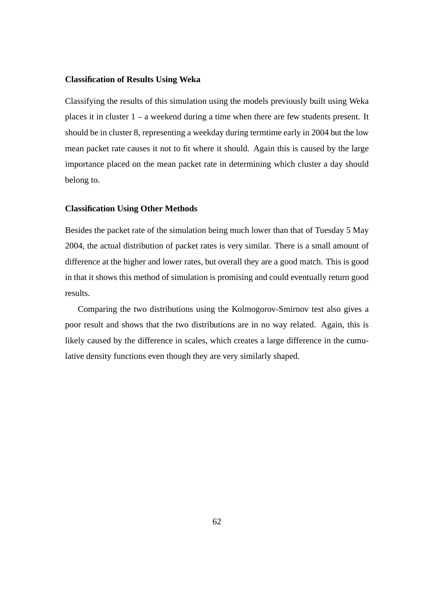#### **Classification of Results Using Weka**

Classifying the results of this simulation using the models previously built using Weka places it in cluster 1 – a weekend during a time when there are few students present. It should be in cluster 8, representing a weekday during termtime early in 2004 but the low mean packet rate causes it not to fit where it should. Again this is caused by the large importance placed on the mean packet rate in determining which cluster a day should belong to.

#### **Classification Using Other Methods**

Besides the packet rate of the simulation being much lower than that of Tuesday 5 May 2004, the actual distribution of packet rates is very similar. There is a small amount of difference at the higher and lower rates, but overall they are a good match. This is good in that it shows this method of simulation is promising and could eventually return good results.

Comparing the two distributions using the Kolmogorov-Smirnov test also gives a poor result and shows that the two distributions are in no way related. Again, this is likely caused by the difference in scales, which creates a large difference in the cumulative density functions even though they are very similarly shaped.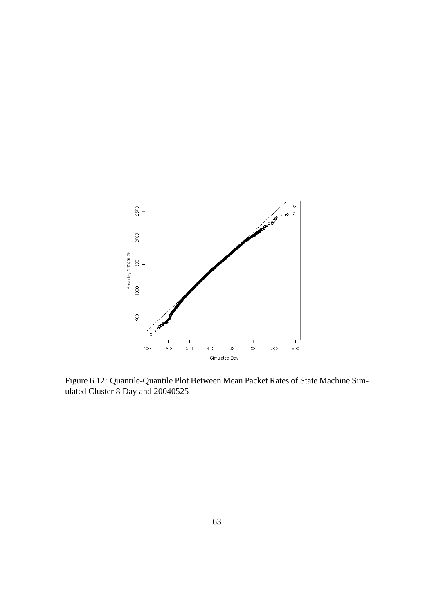

Figure 6.12: Quantile-Quantile Plot Between Mean Packet Rates of State Machine Simulated Cluster 8 Day and 20040525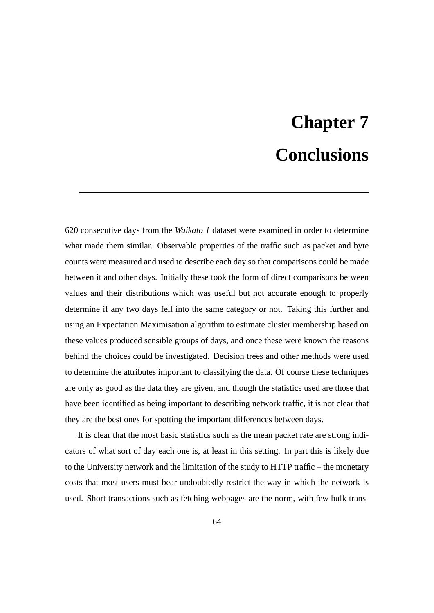## **Chapter 7 Conclusions**

620 consecutive days from the *Waikato 1* dataset were examined in order to determine what made them similar. Observable properties of the traffic such as packet and byte counts were measured and used to describe each day so that comparisons could be made between it and other days. Initially these took the form of direct comparisons between values and their distributions which was useful but not accurate enough to properly determine if any two days fell into the same category or not. Taking this further and using an Expectation Maximisation algorithm to estimate cluster membership based on these values produced sensible groups of days, and once these were known the reasons behind the choices could be investigated. Decision trees and other methods were used to determine the attributes important to classifying the data. Of course these techniques are only as good as the data they are given, and though the statistics used are those that have been identified as being important to describing network traffic, it is not clear that they are the best ones for spotting the important differences between days.

It is clear that the most basic statistics such as the mean packet rate are strong indicators of what sort of day each one is, at least in this setting. In part this is likely due to the University network and the limitation of the study to HTTP traffic – the monetary costs that most users must bear undoubtedly restrict the way in which the network is used. Short transactions such as fetching webpages are the norm, with few bulk trans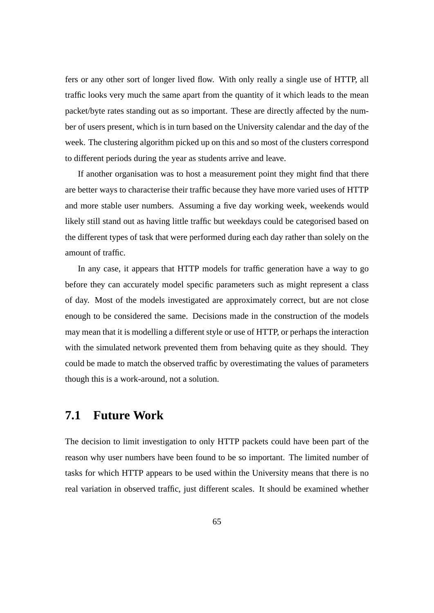fers or any other sort of longer lived flow. With only really a single use of HTTP, all traffic looks very much the same apart from the quantity of it which leads to the mean packet/byte rates standing out as so important. These are directly affected by the number of users present, which is in turn based on the University calendar and the day of the week. The clustering algorithm picked up on this and so most of the clusters correspond to different periods during the year as students arrive and leave.

If another organisation was to host a measurement point they might find that there are better ways to characterise their traffic because they have more varied uses of HTTP and more stable user numbers. Assuming a five day working week, weekends would likely still stand out as having little traffic but weekdays could be categorised based on the different types of task that were performed during each day rather than solely on the amount of traffic.

In any case, it appears that HTTP models for traffic generation have a way to go before they can accurately model specific parameters such as might represent a class of day. Most of the models investigated are approximately correct, but are not close enough to be considered the same. Decisions made in the construction of the models may mean that it is modelling a different style or use of HTTP, or perhaps the interaction with the simulated network prevented them from behaving quite as they should. They could be made to match the observed traffic by overestimating the values of parameters though this is a work-around, not a solution.

## **7.1 Future Work**

The decision to limit investigation to only HTTP packets could have been part of the reason why user numbers have been found to be so important. The limited number of tasks for which HTTP appears to be used within the University means that there is no real variation in observed traffic, just different scales. It should be examined whether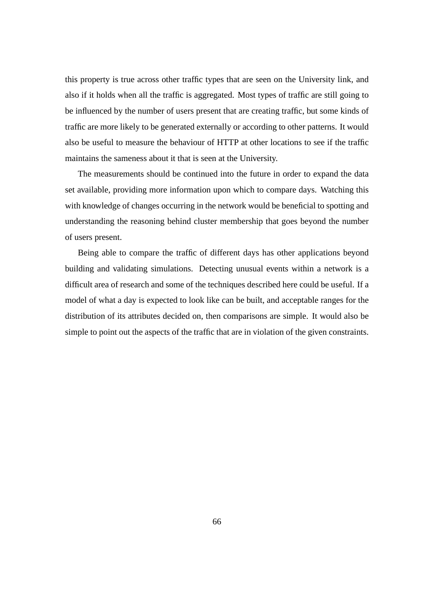this property is true across other traffic types that are seen on the University link, and also if it holds when all the traffic is aggregated. Most types of traffic are still going to be influenced by the number of users present that are creating traffic, but some kinds of traffic are more likely to be generated externally or according to other patterns. It would also be useful to measure the behaviour of HTTP at other locations to see if the traffic maintains the sameness about it that is seen at the University.

The measurements should be continued into the future in order to expand the data set available, providing more information upon which to compare days. Watching this with knowledge of changes occurring in the network would be beneficial to spotting and understanding the reasoning behind cluster membership that goes beyond the number of users present.

Being able to compare the traffic of different days has other applications beyond building and validating simulations. Detecting unusual events within a network is a difficult area of research and some of the techniques described here could be useful. If a model of what a day is expected to look like can be built, and acceptable ranges for the distribution of its attributes decided on, then comparisons are simple. It would also be simple to point out the aspects of the traffic that are in violation of the given constraints.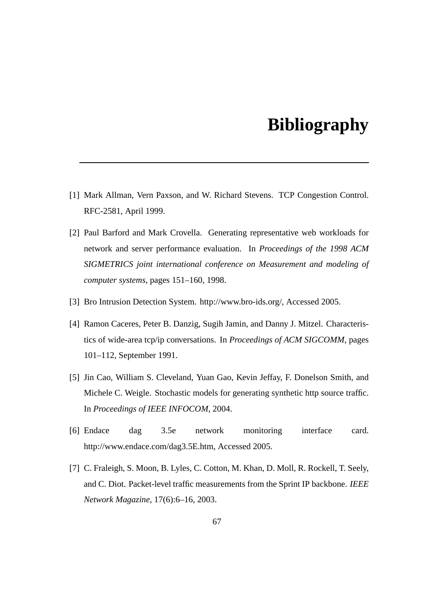## **Bibliography**

- [1] Mark Allman, Vern Paxson, and W. Richard Stevens. TCP Congestion Control. RFC-2581, April 1999.
- [2] Paul Barford and Mark Crovella. Generating representative web workloads for network and server performance evaluation. In *Proceedings of the 1998 ACM SIGMETRICS joint international conference on Measurement and modeling of computer systems*, pages 151–160, 1998.
- [3] Bro Intrusion Detection System. http://www.bro-ids.org/, Accessed 2005.
- [4] Ramon Caceres, Peter B. Danzig, Sugih Jamin, and Danny J. Mitzel. Characteristics of wide-area tcp/ip conversations. In *Proceedings of ACM SIGCOMM*, pages 101–112, September 1991.
- [5] Jin Cao, William S. Cleveland, Yuan Gao, Kevin Jeffay, F. Donelson Smith, and Michele C. Weigle. Stochastic models for generating synthetic http source traffic. In *Proceedings of IEEE INFOCOM*, 2004.
- [6] Endace dag 3.5e network monitoring interface card. http://www.endace.com/dag3.5E.htm, Accessed 2005.
- [7] C. Fraleigh, S. Moon, B. Lyles, C. Cotton, M. Khan, D. Moll, R. Rockell, T. Seely, and C. Diot. Packet-level traffic measurements from the Sprint IP backbone. *IEEE Network Magazine*, 17(6):6–16, 2003.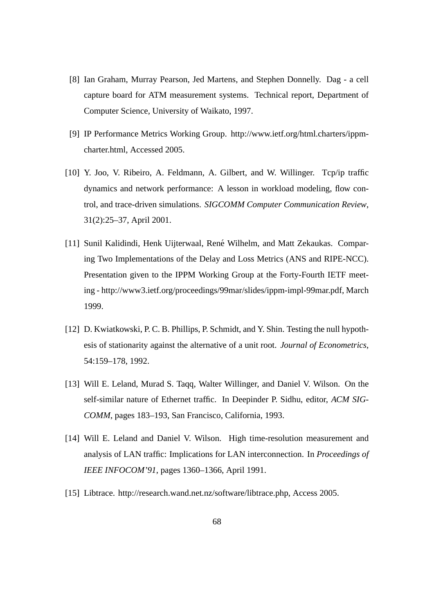- [8] Ian Graham, Murray Pearson, Jed Martens, and Stephen Donnelly. Dag a cell capture board for ATM measurement systems. Technical report, Department of Computer Science, University of Waikato, 1997.
- [9] IP Performance Metrics Working Group. http://www.ietf.org/html.charters/ippmcharter.html, Accessed 2005.
- [10] Y. Joo, V. Ribeiro, A. Feldmann, A. Gilbert, and W. Willinger. Tcp/ip traffic dynamics and network performance: A lesson in workload modeling, flow control, and trace-driven simulations. *SIGCOMM Computer Communication Review*, 31(2):25–37, April 2001.
- [11] Sunil Kalidindi, Henk Uijterwaal, René Wilhelm, and Matt Zekaukas. Comparing Two Implementations of the Delay and Loss Metrics (ANS and RIPE-NCC). Presentation given to the IPPM Working Group at the Forty-Fourth IETF meeting - http://www3.ietf.org/proceedings/99mar/slides/ippm-impl-99mar.pdf, March 1999.
- [12] D. Kwiatkowski, P. C. B. Phillips, P. Schmidt, and Y. Shin. Testing the null hypothesis of stationarity against the alternative of a unit root. *Journal of Econometrics*, 54:159–178, 1992.
- [13] Will E. Leland, Murad S. Taqq, Walter Willinger, and Daniel V. Wilson. On the self-similar nature of Ethernet traffic. In Deepinder P. Sidhu, editor, *ACM SIG-COMM*, pages 183–193, San Francisco, California, 1993.
- [14] Will E. Leland and Daniel V. Wilson. High time-resolution measurement and analysis of LAN traffic: Implications for LAN interconnection. In *Proceedings of IEEE INFOCOM'91*, pages 1360–1366, April 1991.
- [15] Libtrace. http://research.wand.net.nz/software/libtrace.php, Access 2005.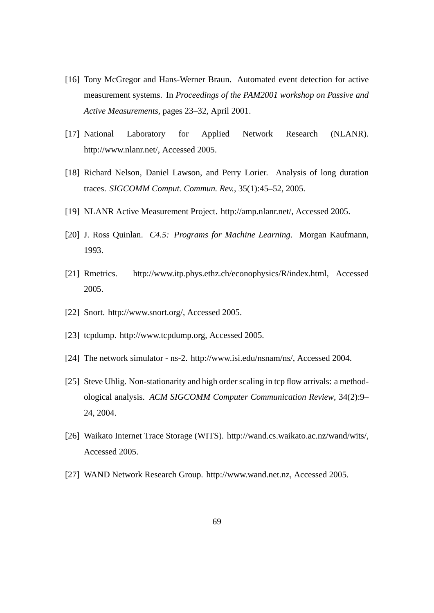- [16] Tony McGregor and Hans-Werner Braun. Automated event detection for active measurement systems. In *Proceedings of the PAM2001 workshop on Passive and Active Measurements*, pages 23–32, April 2001.
- [17] National Laboratory for Applied Network Research (NLANR). http://www.nlanr.net/, Accessed 2005.
- [18] Richard Nelson, Daniel Lawson, and Perry Lorier. Analysis of long duration traces. *SIGCOMM Comput. Commun. Rev.*, 35(1):45–52, 2005.
- [19] NLANR Active Measurement Project. http://amp.nlanr.net/, Accessed 2005.
- [20] J. Ross Quinlan. *C4.5: Programs for Machine Learning*. Morgan Kaufmann, 1993.
- [21] Rmetrics. http://www.itp.phys.ethz.ch/econophysics/R/index.html, Accessed 2005.
- [22] Snort. http://www.snort.org/, Accessed 2005.
- [23] tcpdump. http://www.tcpdump.org, Accessed 2005.
- [24] The network simulator ns-2. http://www.isi.edu/nsnam/ns/, Accessed 2004.
- [25] Steve Uhlig. Non-stationarity and high order scaling in tcp flow arrivals: a methodological analysis. *ACM SIGCOMM Computer Communication Review*, 34(2):9– 24, 2004.
- [26] Waikato Internet Trace Storage (WITS). http://wand.cs.waikato.ac.nz/wand/wits/, Accessed 2005.
- [27] WAND Network Research Group. http://www.wand.net.nz, Accessed 2005.